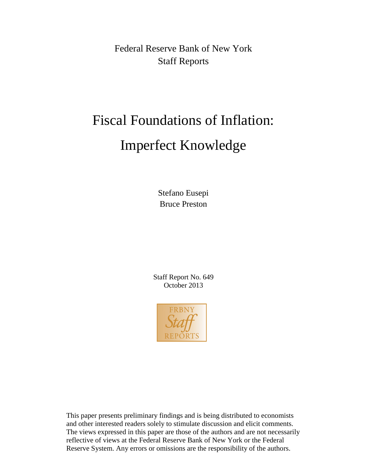Federal Reserve Bank of New York Staff Reports

# Fiscal Foundations of Inflation: Imperfect Knowledge

Stefano Eusepi Bruce Preston

Staff Report No. 649 October 2013



This paper presents preliminary findings and is being distributed to economists and other interested readers solely to stimulate discussion and elicit comments. The views expressed in this paper are those of the authors and are not necessarily reflective of views at the Federal Reserve Bank of New York or the Federal Reserve System. Any errors or omissions are the responsibility of the authors.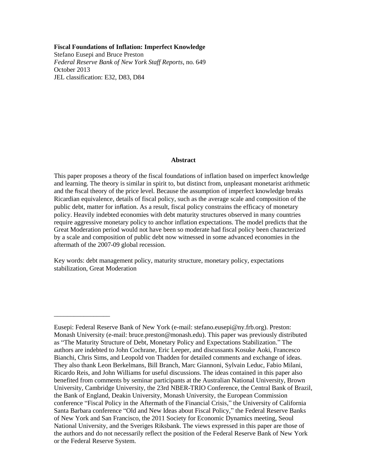#### **Fiscal Foundations of Inflation: Imperfect Knowledge**

Stefano Eusepi and Bruce Preston *Federal Reserve Bank of New York Staff Reports*, no. 649 October 2013 JEL classification: E32, D83, D84

#### **Abstract**

This paper proposes a theory of the fiscal foundations of inflation based on imperfect knowledge and learning. The theory is similar in spirit to, but distinct from, unpleasant monetarist arithmetic and the fiscal theory of the price level. Because the assumption of imperfect knowledge breaks Ricardian equivalence, details of fiscal policy, such as the average scale and composition of the public debt, matter for inflation. As a result, fiscal policy constrains the efficacy of monetary policy. Heavily indebted economies with debt maturity structures observed in many countries require aggressive monetary policy to anchor inflation expectations. The model predicts that the Great Moderation period would not have been so moderate had fiscal policy been characterized by a scale and composition of public debt now witnessed in some advanced economies in the aftermath of the 2007-09 global recession.

Key words: debt management policy, maturity structure, monetary policy, expectations stabilization, Great Moderation

\_\_\_\_\_\_\_\_\_\_\_\_\_\_\_\_\_

Eusepi: Federal Reserve Bank of New York (e-mail: stefano.eusepi@ny.frb.org). Preston: Monash University (e-mail: bruce.preston@monash.edu). This paper was previously distributed as "The Maturity Structure of Debt, Monetary Policy and Expectations Stabilization." The authors are indebted to John Cochrane, Eric Leeper, and discussants Kosuke Aoki, Francesco Bianchi, Chris Sims, and Leopold von Thadden for detailed comments and exchange of ideas. They also thank Leon Berkelmans, Bill Branch, Marc Giannoni, Sylvain Leduc, Fabio Milani, Ricardo Reis, and John Williams for useful discussions. The ideas contained in this paper also benefited from comments by seminar participants at the Australian National University, Brown University, Cambridge University, the 23rd NBER-TRIO Conference, the Central Bank of Brazil, the Bank of England, Deakin University, Monash University, the European Commission conference "Fiscal Policy in the Aftermath of the Financial Crisis," the University of California Santa Barbara conference "Old and New Ideas about Fiscal Policy," the Federal Reserve Banks of New York and San Francisco, the 2011 Society for Economic Dynamics meeting, Seoul National University, and the Sveriges Riksbank. The views expressed in this paper are those of the authors and do not necessarily reflect the position of the Federal Reserve Bank of New York or the Federal Reserve System.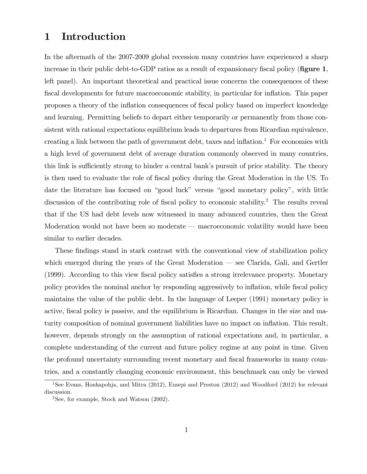# 1 Introduction

In the aftermath of the 2007-2009 global recession many countries have experienced a sharp increase in their public debt-to-GDP ratios as a result of expansionary fiscal policy (figure  $1$ , left panel). An important theoretical and practical issue concerns the consequences of these Öscal developments for future macroeconomic stability, in particular for ináation. This paper proposes a theory of the ináation consequences of Öscal policy based on imperfect knowledge and learning. Permitting beliefs to depart either temporarily or permanently from those consistent with rational expectations equilibrium leads to departures from Ricardian equivalence, creating a link between the path of government debt, taxes and inflation.<sup>1</sup> For economies with a high level of government debt of average duration commonly observed in many countries, this link is sufficiently strong to hinder a central bank's pursuit of price stability. The theory is then used to evaluate the role of fiscal policy during the Great Moderation in the US. To date the literature has focused on "good luck" versus "good monetary policy", with little discussion of the contributing role of fiscal policy to economic stability.<sup>2</sup> The results reveal that if the US had debt levels now witnessed in many advanced countries, then the Great Moderation would not have been so moderate  $-$  macroeconomic volatility would have been similar to earlier decades.

These findings stand in stark contrast with the conventional view of stabilization policy which emerged during the years of the Great Moderation  $\sim$  see Clarida, Gali, and Gertler  $(1999)$ . According to this view fiscal policy satisfies a strong irrelevance property. Monetary policy provides the nominal anchor by responding aggressively to inflation, while fiscal policy maintains the value of the public debt. In the language of Leeper (1991) monetary policy is active, fiscal policy is passive, and the equilibrium is Ricardian. Changes in the size and maturity composition of nominal government liabilities have no impact on ináation. This result, however, depends strongly on the assumption of rational expectations and, in particular, a complete understanding of the current and future policy regime at any point in time. Given the profound uncertainty surrounding recent monetary and fiscal frameworks in many countries, and a constantly changing economic environment, this benchmark can only be viewed

<sup>&</sup>lt;sup>1</sup>See Evans, Honkapohja, and Mitra (2012), Eusepi and Preston (2012) and Woodford (2012) for relevant discussion.

 $2$ See, for example, Stock and Watson  $(2002)$ .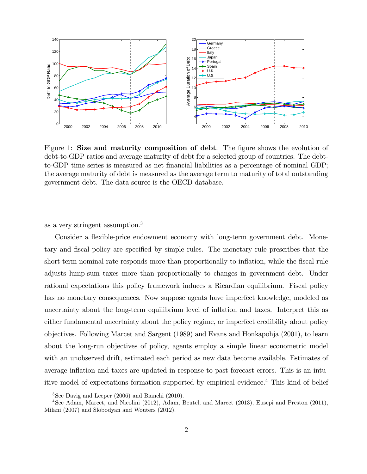

Figure 1: Size and maturity composition of debt. The figure shows the evolution of debt-to-GDP ratios and average maturity of debt for a selected group of countries. The debtto-GDP time series is measured as net financial liabilities as a percentage of nominal GDP; the average maturity of debt is measured as the average term to maturity of total outstanding government debt. The data source is the OECD database.

as a very stringent assumption.<sup>3</sup>

Consider a flexible-price endowment economy with long-term government debt. Monetary and fiscal policy are specified by simple rules. The monetary rule prescribes that the short-term nominal rate responds more than proportionally to inflation, while the fiscal rule adjusts lump-sum taxes more than proportionally to changes in government debt. Under rational expectations this policy framework induces a Ricardian equilibrium. Fiscal policy has no monetary consequences. Now suppose agents have imperfect knowledge, modeled as uncertainty about the long-term equilibrium level of ináation and taxes. Interpret this as either fundamental uncertainty about the policy regime, or imperfect credibility about policy objectives. Following Marcet and Sargent (1989) and Evans and Honkapohja (2001), to learn about the long-run objectives of policy, agents employ a simple linear econometric model with an unobserved drift, estimated each period as new data become available. Estimates of average inflation and taxes are updated in response to past forecast errors. This is an intuitive model of expectations formation supported by empirical evidence.<sup>4</sup> This kind of belief

<sup>3</sup>See Davig and Leeper (2006) and Bianchi (2010).

<sup>4</sup>See Adam, Marcet, and Nicolini (2012), Adam, Beutel, and Marcet (2013), Eusepi and Preston (2011), Milani (2007) and Slobodyan and Wouters (2012).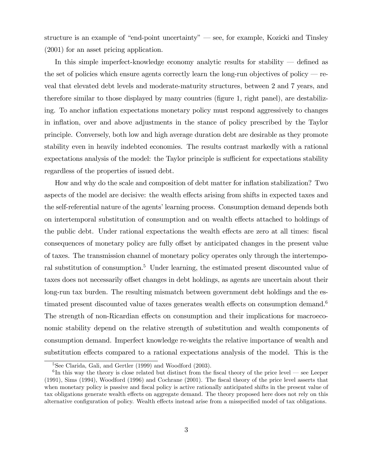structure is an example of "end-point uncertainty"  $\sim$  see, for example, Kozicki and Tinsley (2001) for an asset pricing application.

In this simple imperfect-knowledge economy analytic results for stability  $-$  defined as the set of policies which ensure agents correctly learn the long-run objectives of policy  $-$  reveal that elevated debt levels and moderate-maturity structures, between 2 and 7 years, and therefore similar to those displayed by many countries (figure 1, right panel), are destabilizing. To anchor ináation expectations monetary policy must respond aggressively to changes in inflation, over and above adjustments in the stance of policy prescribed by the Taylor principle. Conversely, both low and high average duration debt are desirable as they promote stability even in heavily indebted economies. The results contrast markedly with a rational expectations analysis of the model: the Taylor principle is sufficient for expectations stability regardless of the properties of issued debt.

How and why do the scale and composition of debt matter for inflation stabilization? Two aspects of the model are decisive: the wealth effects arising from shifts in expected taxes and the self-referential nature of the agents' learning process. Consumption demand depends both on intertemporal substitution of consumption and on wealth effects attached to holdings of the public debt. Under rational expectations the wealth effects are zero at all times: fiscal consequences of monetary policy are fully offset by anticipated changes in the present value of taxes. The transmission channel of monetary policy operates only through the intertemporal substitution of consumption.<sup>5</sup> Under learning, the estimated present discounted value of taxes does not necessarily offset changes in debt holdings, as agents are uncertain about their long-run tax burden. The resulting mismatch between government debt holdings and the estimated present discounted value of taxes generates wealth effects on consumption demand.<sup>6</sup> The strength of non-Ricardian effects on consumption and their implications for macroeconomic stability depend on the relative strength of substitution and wealth components of consumption demand. Imperfect knowledge re-weights the relative importance of wealth and substitution effects compared to a rational expectations analysis of the model. This is the

<sup>&</sup>lt;sup>5</sup>See Clarida, Gali, and Gertler (1999) and Woodford (2003).

 ${}^{6}$ In this way the theory is close related but distinct from the fiscal theory of the price level — see Leeper (1991), Sims (1994), Woodford (1996) and Cochrane (2001). The Öscal theory of the price level asserts that when monetary policy is passive and fiscal policy is active rationally anticipated shifts in the present value of tax obligations generate wealth effects on aggregate demand. The theory proposed here does not rely on this alternative configuration of policy. Wealth effects instead arise from a misspecified model of tax obligations.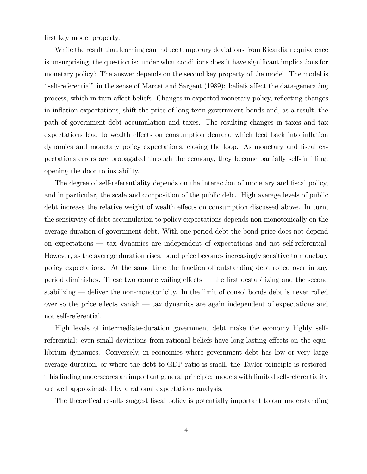first key model property.

While the result that learning can induce temporary deviations from Ricardian equivalence is unsurprising, the question is: under what conditions does it have significant implications for monetary policy? The answer depends on the second key property of the model. The model is "self-referential" in the sense of Marcet and Sargent  $(1989)$ : beliefs affect the data-generating process, which in turn affect beliefs. Changes in expected monetary policy, reflecting changes in inflation expectations, shift the price of long-term government bonds and, as a result, the path of government debt accumulation and taxes. The resulting changes in taxes and tax expectations lead to wealth effects on consumption demand which feed back into inflation dynamics and monetary policy expectations, closing the loop. As monetary and fiscal expectations errors are propagated through the economy, they become partially self-fulfilling, opening the door to instability.

The degree of self-referentiality depends on the interaction of monetary and fiscal policy, and in particular, the scale and composition of the public debt. High average levels of public debt increase the relative weight of wealth effects on consumption discussed above. In turn, the sensitivity of debt accumulation to policy expectations depends non-monotonically on the average duration of government debt. With one-period debt the bond price does not depend on expectations  $-$  tax dynamics are independent of expectations and not self-referential. However, as the average duration rises, bond price becomes increasingly sensitive to monetary policy expectations. At the same time the fraction of outstanding debt rolled over in any period diminishes. These two countervailing effects  $-$  the first destabilizing and the second stabilizing  $\sim$  deliver the non-monotonicity. In the limit of consol bonds debt is never rolled over so the price effects vanish  $-$  tax dynamics are again independent of expectations and not self-referential.

High levels of intermediate-duration government debt make the economy highly selfreferential: even small deviations from rational beliefs have long-lasting effects on the equilibrium dynamics. Conversely, in economies where government debt has low or very large average duration, or where the debt-to-GDP ratio is small, the Taylor principle is restored. This Önding underscores an important general principle: models with limited self-referentiality are well approximated by a rational expectations analysis.

The theoretical results suggest fiscal policy is potentially important to our understanding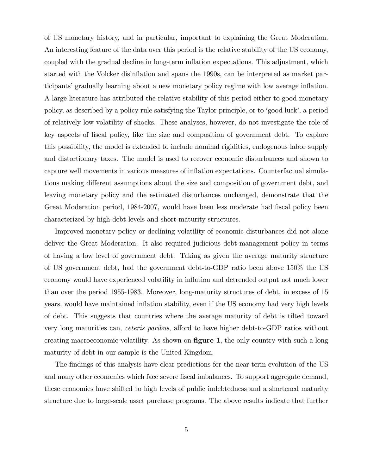of US monetary history, and in particular, important to explaining the Great Moderation. An interesting feature of the data over this period is the relative stability of the US economy, coupled with the gradual decline in long-term inflation expectations. This adjustment, which started with the Volcker disinflation and spans the 1990s, can be interpreted as market participants' gradually learning about a new monetary policy regime with low average inflation. A large literature has attributed the relative stability of this period either to good monetary policy, as described by a policy rule satisfying the Taylor principle, or to 'good luck', a period of relatively low volatility of shocks. These analyses, however, do not investigate the role of key aspects of fiscal policy, like the size and composition of government debt. To explore this possibility, the model is extended to include nominal rigidities, endogenous labor supply and distortionary taxes. The model is used to recover economic disturbances and shown to capture well movements in various measures of ináation expectations. Counterfactual simulations making different assumptions about the size and composition of government debt, and leaving monetary policy and the estimated disturbances unchanged, demonstrate that the Great Moderation period, 1984-2007, would have been less moderate had fiscal policy been characterized by high-debt levels and short-maturity structures.

Improved monetary policy or declining volatility of economic disturbances did not alone deliver the Great Moderation. It also required judicious debt-management policy in terms of having a low level of government debt. Taking as given the average maturity structure of US government debt, had the government debt-to-GDP ratio been above 150% the US economy would have experienced volatility in ináation and detrended output not much lower than over the period 1955-1983. Moreover, long-maturity structures of debt, in excess of 15 years, would have maintained inflation stability, even if the US economy had very high levels of debt. This suggests that countries where the average maturity of debt is tilted toward very long maturities can, *ceteris paribus*, afford to have higher debt-to-GDP ratios without creating macroeconomic volatility. As shown on  $figure 1$ , the only country with such a long maturity of debt in our sample is the United Kingdom.

The findings of this analysis have clear predictions for the near-term evolution of the US and many other economies which face severe fiscal imbalances. To support aggregate demand, these economies have shifted to high levels of public indebtedness and a shortened maturity structure due to large-scale asset purchase programs. The above results indicate that further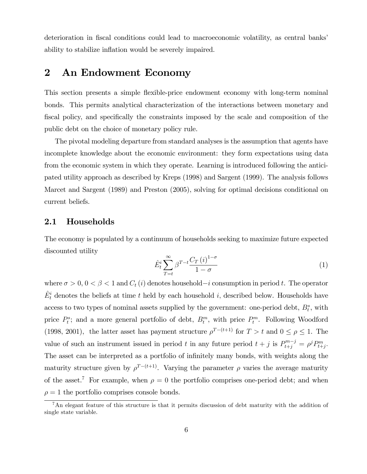deterioration in fiscal conditions could lead to macroeconomic volatility, as central banks' ability to stabilize inflation would be severely impaired.

# 2 An Endowment Economy

This section presents a simple flexible-price endowment economy with long-term nominal bonds. This permits analytical characterization of the interactions between monetary and fiscal policy, and specifically the constraints imposed by the scale and composition of the public debt on the choice of monetary policy rule.

The pivotal modeling departure from standard analyses is the assumption that agents have incomplete knowledge about the economic environment: they form expectations using data from the economic system in which they operate. Learning is introduced following the anticipated utility approach as described by Kreps (1998) and Sargent (1999). The analysis follows Marcet and Sargent (1989) and Preston (2005), solving for optimal decisions conditional on current beliefs.

### 2.1 Households

The economy is populated by a continuum of households seeking to maximize future expected discounted utility

$$
\hat{E}_t^i \sum_{T=t}^{\infty} \beta^{T-t} \frac{C_T(i)^{1-\sigma}}{1-\sigma} \tag{1}
$$

where  $\sigma > 0$ ,  $0 < \beta < 1$  and  $C_t(i)$  denotes household  $-i$  consumption in period t. The operator  $\hat{E}^i_t$  denotes the beliefs at time t held by each household i, described below. Households have access to two types of nominal assets supplied by the government: one-period debt,  $B_t^s$ , with price  $P_t^s$ ; and a more general portfolio of debt,  $B_t^m$ , with price  $P_t^m$ . Following Woodford (1998, 2001), the latter asset has payment structure  $\rho^{T-(t+1)}$  for  $T > t$  and  $0 \le \rho \le 1$ . The value of such an instrument issued in period t in any future period  $t + j$  is  $P_{t+j}^{m-j} = \rho^j P_{t+j}^m$ . The asset can be interpreted as a portfolio of infinitely many bonds, with weights along the maturity structure given by  $\rho^{T-(t+1)}$ . Varying the parameter  $\rho$  varies the average maturity of the asset.<sup>7</sup> For example, when  $\rho = 0$  the portfolio comprises one-period debt; and when  $\rho = 1$  the portfolio comprises console bonds.

<sup>&</sup>lt;sup>7</sup>An elegant feature of this structure is that it permits discussion of debt maturity with the addition of single state variable.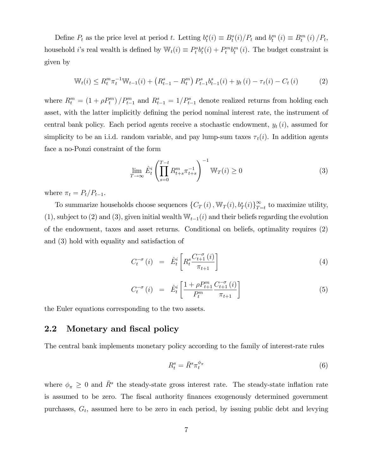Define  $P_t$  as the price level at period t. Letting  $b_t^s(i) \equiv B_t^s(i)/P_t$  and  $b_t^m(i) \equiv B_t^m(i)/P_t$ , household *i*'s real wealth is defined by  $\mathbb{W}_t(i) \equiv P_t^s b_t^s(i) + P_t^m b_t^m(i)$ . The budget constraint is given by

$$
\mathbb{W}_{t}(i) \leq R_{t}^{m} \pi_{t}^{-1} \mathbb{W}_{t-1}(i) + \left(R_{t-1}^{s} - R_{t}^{m}\right) P_{t-1}^{s} b_{t-1}^{s}(i) + y_{t}\left(i\right) - \tau_{t}(i) - C_{t}\left(i\right) \tag{2}
$$

where  $R_t^m = (1 + \rho P_t^m) / P_{t-1}^m$  and  $R_{t-1}^s = 1 / P_{t-1}^s$  denote realized returns from holding each asset, with the latter implicitly defining the period nominal interest rate, the instrument of central bank policy. Each period agents receive a stochastic endowment,  $y_t(i)$ , assumed for simplicity to be an i.i.d. random variable, and pay lump-sum taxes  $\tau_t(i)$ . In addition agents face a no-Ponzi constraint of the form

$$
\lim_{T \to \infty} \hat{E}_t^i \left( \prod_{s=0}^{T-t} R_{t+s}^m \pi_{t+s}^{-1} \right)^{-1} \mathbb{W}_T(i) \ge 0 \tag{3}
$$

where  $\pi_t = P_t/P_{t-1}$ .

To summarize households choose sequences  $\{C_T(i), \mathbb{W}_T(i), b_T^s(i)\}_{T=t}^{\infty}$  to maximize utility, (1), subject to (2) and (3), given initial wealth  $\mathbb{W}_{t-1}(i)$  and their beliefs regarding the evolution of the endowment, taxes and asset returns. Conditional on beliefs, optimality requires (2) and (3) hold with equality and satisfaction of

$$
C_t^{-\sigma}(i) = \hat{E}_t^i \left[ R_t^s \frac{C_{t+1}^{-\sigma}(i)}{\pi_{t+1}} \right] \tag{4}
$$

$$
C_t^{-\sigma}(i) = \hat{E}_t^i \left[ \frac{1 + \rho P_{t+1}^m}{P_t^m} \frac{C_{t+1}^{-\sigma}(i)}{\pi_{t+1}} \right] \tag{5}
$$

the Euler equations corresponding to the two assets.

### 2.2 Monetary and fiscal policy

The central bank implements monetary policy according to the family of interest-rate rules

$$
R_t^s = \bar{R}^s \pi_t^{\phi_\pi} \tag{6}
$$

where  $\phi_{\pi} \geq 0$  and  $\bar{R}^s$  the steady-state gross interest rate. The steady-state inflation rate is assumed to be zero. The fiscal authority finances exogenously determined government purchases,  $G_t$ , assumed here to be zero in each period, by issuing public debt and levying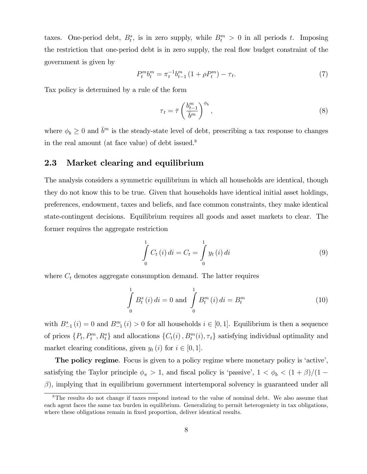taxes. One-period debt,  $B_t^s$ , is in zero supply, while  $B_t^m > 0$  in all periods t. Imposing the restriction that one-period debt is in zero supply, the real flow budget constraint of the government is given by

$$
P_t^m b_t^m = \pi_t^{-1} b_{t-1}^m \left( 1 + \rho P_t^m \right) - \tau_t. \tag{7}
$$

Tax policy is determined by a rule of the form

$$
\tau_t = \bar{\tau} \left( \frac{b_{t-1}^m}{\bar{b}^m} \right)^{\phi_b},\tag{8}
$$

where  $\phi_b \geq 0$  and  $\bar{b}^m$  is the steady-state level of debt, prescribing a tax response to changes in the real amount (at face value) of debt issued.<sup>8</sup>

### 2.3 Market clearing and equilibrium

The analysis considers a symmetric equilibrium in which all households are identical, though they do not know this to be true. Given that households have identical initial asset holdings, preferences, endowment, taxes and beliefs, and face common constraints, they make identical state-contingent decisions. Equilibrium requires all goods and asset markets to clear. The former requires the aggregate restriction

$$
\int_{0}^{1} C_{t} (i) di = C_{t} = \int_{0}^{1} y_{t} (i) di
$$
\n(9)

where  $C_t$  denotes aggregate consumption demand. The latter requires

$$
\int_{0}^{1} B_{t}^{s}(i) di = 0 \text{ and } \int_{0}^{1} B_{t}^{m}(i) di = B_{t}^{m}
$$
\n(10)

with  $B_{-1}^s(i) = 0$  and  $B_{-1}^m(i) > 0$  for all households  $i \in [0, 1]$ . Equilibrium is then a sequence of prices  $\{P_t, P_t^m, R_t^s\}$  and allocations  $\{C_t(i), P_t^m(i), \tau_t\}$  satisfying individual optimality and market clearing conditions, given  $y_t(i)$  for  $i \in [0, 1]$ .

The policy regime. Focus is given to a policy regime where monetary policy is 'active', satisfying the Taylor principle  $\phi_{\pi} > 1$ , and fiscal policy is 'passive',  $1 < \phi_{b} < (1 + \beta)/(1 (\beta)$ , implying that in equilibrium government intertemporal solvency is guaranteed under all

<sup>8</sup>The results do not change if taxes respond instead to the value of nominal debt. We also assume that each agent faces the same tax burden in equilibrium. Generalizing to permit heterogeniety in tax obligations, where these obligations remain in fixed proportion, deliver identical results.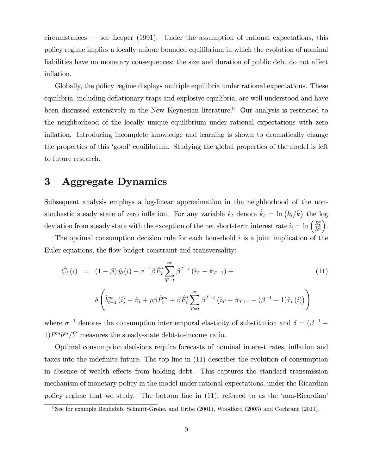circumstances  $-$  see Leeper (1991). Under the assumption of rational expectations, this policy regime implies a locally unique bounded equilibrium in which the evolution of nominal liabilities have no monetary consequences; the size and duration of public debt do not affect inflation.

Globally, the policy regime displays multiple equilibria under rational expectations. These equilibria, including deflationary traps and explosive equilibria, are well understood and have been discussed extensively in the New Keynesian literature.<sup>9</sup> Our analysis is restricted to the neighborhood of the locally unique equilibrium under rational expectations with zero inflation. Introducing incomplete knowledge and learning is shown to dramatically change the properties of this 'good' equilibrium. Studying the global properties of the model is left to future research.

# 3 Aggregate Dynamics

Subsequent analysis employs a log-linear approximation in the neighborhood of the nonstochastic steady state of zero inflation. For any variable  $k_t$  denote  $\hat{k}_t = \ln (k_t/\bar{k})$  the log deviation from steady state with the exception of the net short-term interest rate  $\hat{i}_t = \ln\left(\frac{R_t^s}{R^s}\right)$ .

The optimal consumption decision rule for each household  $i$  is a joint implication of the Euler equations, the flow budget constraint and transversality:

$$
\hat{C}_{t}(i) = (1 - \beta) \hat{y}_{t}(i) - \sigma^{-1} \beta \hat{E}_{t}^{i} \sum_{T=t}^{\infty} \beta^{T-t} (\hat{i}_{T} - \hat{\pi}_{T+1}) +
$$
\n
$$
\delta \left( \hat{b}_{t-1}^{m}(i) - \hat{\pi}_{t} + \rho \beta \hat{P}_{t}^{m} + \beta \hat{E}_{t}^{i} \sum_{T=t}^{\infty} \beta^{T-t} (\hat{i}_{T} - \hat{\pi}_{T+1} - (\beta^{-1} - 1)\hat{\tau}_{t}(i)) \right)
$$
\n(11)

where  $\sigma^{-1}$  denotes the consumption intertemporal elasticity of substitution and  $\delta = (\beta^{-1} 1)P^m b^m/\bar{Y}$  measures the steady-state debt-to-income ratio.

Optimal consumption decisions require forecasts of nominal interest rates, ináation and taxes into the indefinite future. The top line in  $(11)$  describes the evolution of consumption in absence of wealth effects from holding debt. This captures the standard transmission mechanism of monetary policy in the model under rational expectations, under the Ricardian policy regime that we study. The bottom line in  $(11)$ , referred to as the 'non-Ricardian'

 $9See$  for example Benhabib, Schmitt-Grohe, and Uribe (2001), Woodford (2003) and Cochrane (2011).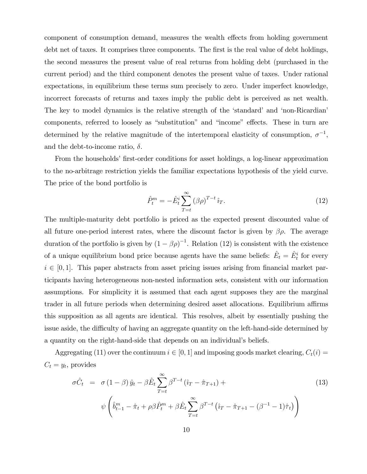component of consumption demand, measures the wealth effects from holding government debt net of taxes. It comprises three components. The first is the real value of debt holdings, the second measures the present value of real returns from holding debt (purchased in the current period) and the third component denotes the present value of taxes. Under rational expectations, in equilibrium these terms sum precisely to zero. Under imperfect knowledge, incorrect forecasts of returns and taxes imply the public debt is perceived as net wealth. The key to model dynamics is the relative strength of the 'standard' and 'non-Ricardian' components, referred to loosely as "substitution" and "income" effects. These in turn are determined by the relative magnitude of the intertemporal elasticity of consumption,  $\sigma^{-1}$ , and the debt-to-income ratio,  $\delta$ .

From the households' first-order conditions for asset holdings, a log-linear approximation to the no-arbitrage restriction yields the familiar expectations hypothesis of the yield curve. The price of the bond portfolio is

$$
\hat{P}_t^m = -\hat{E}_t^i \sum_{T=t}^{\infty} (\beta \rho)^{T-t} \hat{i}_T.
$$
\n(12)

The multiple-maturity debt portfolio is priced as the expected present discounted value of all future one-period interest rates, where the discount factor is given by  $\beta \rho$ . The average duration of the portfolio is given by  $(1 - \beta \rho)^{-1}$ . Relation (12) is consistent with the existence of a unique equilibrium bond price because agents have the same beliefs:  $\hat{E}_t = \hat{E}_t^i$  for every  $i \in [0, 1]$ . This paper abstracts from asset pricing issues arising from financial market participants having heterogeneous non-nested information sets, consistent with our information assumptions. For simplicity it is assumed that each agent supposes they are the marginal trader in all future periods when determining desired asset allocations. Equilibrium affirms this supposition as all agents are identical. This resolves, albeit by essentially pushing the issue aside, the difficulty of having an aggregate quantity on the left-hand-side determined by a quantity on the right-hand-side that depends on an individual's beliefs.

Aggregating (11) over the continuum  $i \in [0, 1]$  and imposing goods market clearing,  $C_t(i)$  $C_t = y_t$ , provides

$$
\sigma \hat{C}_t = \sigma (1 - \beta) \hat{y}_t - \beta \hat{E}_t \sum_{T=t}^{\infty} \beta^{T-t} (\hat{i}_T - \hat{\pi}_{T+1}) +
$$
  

$$
\psi \left( \hat{b}_{t-1}^m - \hat{\pi}_t + \rho \beta \hat{P}_t^m + \beta \hat{E}_t \sum_{T=t}^{\infty} \beta^{T-t} (\hat{i}_T - \hat{\pi}_{T+1} - (\beta^{-1} - 1)\hat{\tau}_t) \right)
$$
(13)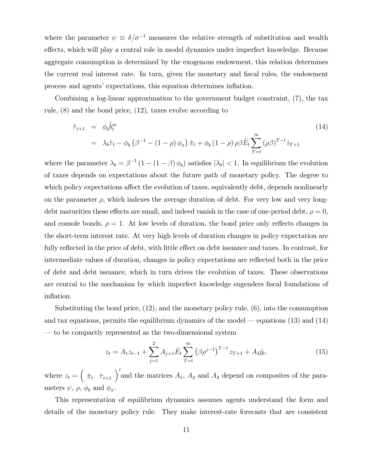where the parameter  $\psi \equiv \delta/\sigma^{-1}$  measures the relative strength of substitution and wealth effects, which will play a central role in model dynamics under imperfect knowledge. Because aggregate consumption is determined by the exogenous endowment, this relation determines the current real interest rate. In turn, given the monetary and fiscal rules, the endowment process and agents' expectations, this equation determines inflation.

Combining a log-linear approximation to the government budget constraint, (7), the tax rule, (8) and the bond price, (12), taxes evolve according to

$$
\hat{\tau}_{t+1} = \phi_b \hat{b}_t^m
$$
\n
$$
= \lambda_b \hat{\tau}_t - \phi_b \left( \beta^{-1} - (1 - \rho) \phi_\pi \right) \hat{\pi}_t + \phi_b \left( 1 - \rho \right) \rho \beta \hat{E}_t \sum_{T=t}^{\infty} (\rho \beta)^{T-t} \hat{i}_{T+1}
$$
\n(14)

where the parameter  $\lambda_b = \beta^{-1} (1 - (1 - \beta) \phi_b)$  satisfies  $|\lambda_b| < 1$ . In equilibrium the evolution of taxes depends on expectations about the future path of monetary policy. The degree to which policy expectations affect the evolution of taxes, equivalently debt, depends nonlinearly on the parameter  $\rho$ , which indexes the average duration of debt. For very low and very longdebt maturities these effects are small, and indeed vanish in the case of one-period debt,  $\rho = 0$ , and console bonds,  $\rho = 1$ . At low levels of duration, the bond price only reflects changes in the short-term interest rate. At very high levels of duration changes in policy expectation are fully reflected in the price of debt, with little effect on debt issuance and taxes. In contrast, for intermediate values of duration, changes in policy expectations are reflected both in the price of debt and debt issuance, which in turn drives the evolution of taxes. These observations are central to the mechanism by which imperfect knowledge engenders fiscal foundations of inflation.

Substituting the bond price, (12), and the monetary policy rule, (6), into the consumption and tax equations, permits the equilibrium dynamics of the model  $-$  equations (13) and (14) ó to be compactly represented as the two-dimensional system

$$
z_t = A_1 z_{t-1} + \sum_{j=1}^2 A_{j+1} \hat{E}_t \sum_{T=t}^{\infty} (\beta \rho^{j-1})^{T-t} z_{T+1} + A_4 \hat{y}_t.
$$
 (15)

where  $z_t = \begin{pmatrix} \hat{\pi}_t & \hat{\tau}_{t+1} \end{pmatrix}'$  and the matrices  $A_1$ ,  $A_2$  and  $A_3$  depend on composites of the parameters  $\psi$ ,  $\rho$ ,  $\phi$ <sub>b</sub> and  $\phi_{\pi}$ .

This representation of equilibrium dynamics assumes agents understand the form and details of the monetary policy rule. They make interest-rate forecasts that are consistent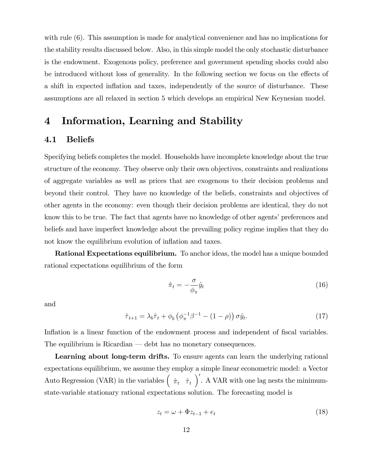with rule (6). This assumption is made for analytical convenience and has no implications for the stability results discussed below. Also, in this simple model the only stochastic disturbance is the endowment. Exogenous policy, preference and government spending shocks could also be introduced without loss of generality. In the following section we focus on the effects of a shift in expected inflation and taxes, independently of the source of disturbance. These assumptions are all relaxed in section 5 which develops an empirical New Keynesian model.

# 4 Information, Learning and Stability

### 4.1 Beliefs

Specifying beliefs completes the model. Households have incomplete knowledge about the true structure of the economy. They observe only their own objectives, constraints and realizations of aggregate variables as well as prices that are exogenous to their decision problems and beyond their control. They have no knowledge of the beliefs, constraints and objectives of other agents in the economy: even though their decision problems are identical, they do not know this to be true. The fact that agents have no knowledge of other agents' preferences and beliefs and have imperfect knowledge about the prevailing policy regime implies that they do not know the equilibrium evolution of inflation and taxes.

Rational Expectations equilibrium. To anchor ideas, the model has a unique bounded rational expectations equilibrium of the form

$$
\hat{\pi}_t = -\frac{\sigma}{\phi_\pi} \hat{y}_t \tag{16}
$$

and

$$
\hat{\tau}_{t+1} = \lambda_b \hat{\tau}_t + \phi_b \left( \phi_\pi^{-1} \beta^{-1} - (1 - \rho) \right) \sigma \hat{y}_t. \tag{17}
$$

Inflation is a linear function of the endowment process and independent of fiscal variables. The equilibrium is Ricardian  $-$  debt has no monetary consequences.

Learning about long-term drifts. To ensure agents can learn the underlying rational expectations equilibrium, we assume they employ a simple linear econometric model: a Vector Auto Regression (VAR) in the variables  $(\hat{\pi}_t \hat{\tau}_t)$ . A VAR with one lag nests the minimumstate-variable stationary rational expectations solution. The forecasting model is

$$
z_t = \omega + \Phi z_{t-1} + e_t \tag{18}
$$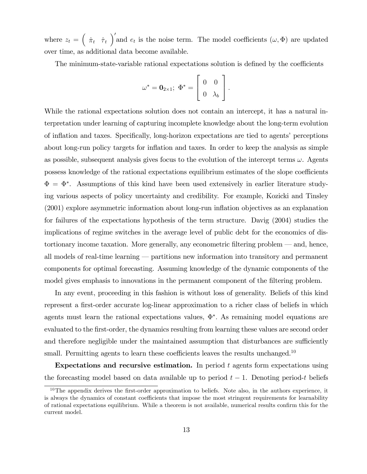where  $z_t = \left(\begin{array}{cc} \hat{\pi}_t & \hat{\tau}_t \end{array}\right)'$  and  $e_t$  is the noise term. The model coefficients  $(\omega, \Phi)$  are updated over time, as additional data become available.

The minimum-state-variable rational expectations solution is defined by the coefficients

$$
\omega^* = \mathbf{0}_{2 \times 1}; \ \Phi^* = \left[ \begin{array}{cc} 0 & 0 \\ 0 & \lambda_b \end{array} \right].
$$

While the rational expectations solution does not contain an intercept, it has a natural interpretation under learning of capturing incomplete knowledge about the long-term evolution of inflation and taxes. Specifically, long-horizon expectations are tied to agents' perceptions about long-run policy targets for ináation and taxes. In order to keep the analysis as simple as possible, subsequent analysis gives focus to the evolution of the intercept terms  $\omega$ . Agents possess knowledge of the rational expectations equilibrium estimates of the slope coefficients  $\Phi = \Phi^*$ . Assumptions of this kind have been used extensively in earlier literature studying various aspects of policy uncertainty and credibility. For example, Kozicki and Tinsley (2001) explore asymmetric information about long-run ináation objectives as an explanation for failures of the expectations hypothesis of the term structure. Davig (2004) studies the implications of regime switches in the average level of public debt for the economics of distortionary income taxation. More generally, any econometric filtering problem  $-$  and, hence, all models of real-time learning  $-$  partitions new information into transitory and permanent components for optimal forecasting. Assuming knowledge of the dynamic components of the model gives emphasis to innovations in the permanent component of the filtering problem.

In any event, proceeding in this fashion is without loss of generality. Beliefs of this kind represent a first-order accurate log-linear approximation to a richer class of beliefs in which agents must learn the rational expectations values,  $\Phi^*$ . As remaining model equations are evaluated to the first-order, the dynamics resulting from learning these values are second order and therefore negligible under the maintained assumption that disturbances are sufficiently small. Permitting agents to learn these coefficients leaves the results unchanged.<sup>10</sup>

Expectations and recursive estimation. In period  $t$  agents form expectations using the forecasting model based on data available up to period  $t-1$ . Denoting period-t beliefs

 $10$ The appendix derives the first-order approximation to beliefs. Note also, in the authors experience, it is always the dynamics of constant coefficients that impose the most stringent requirements for learnability of rational expectations equilibrium. While a theorem is not available, numerical results confirm this for the current model.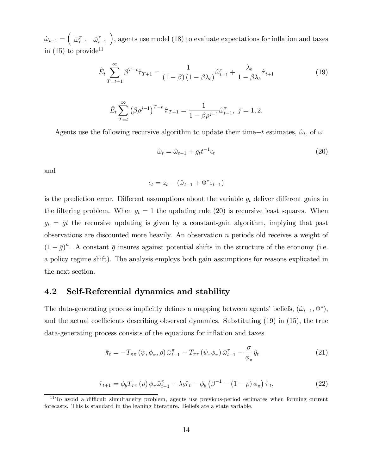$\hat{\omega}_{t-1} = \begin{pmatrix} \hat{\omega}_{t-1}^{\pi} & \hat{\omega}_{t}^{\pi} \end{pmatrix}$  $t-1$ ), agents use model  $(18)$  to evaluate expectations for inflation and taxes in  $(15)$  to provide<sup>11</sup>

$$
\hat{E}_t \sum_{T=t+1}^{\infty} \beta^{T-t} \hat{\tau}_{T+1} = \frac{1}{\left(1-\beta\right)\left(1-\beta\lambda_b\right)} \hat{\omega}_{t-1}^{\tau} + \frac{\lambda_b}{1-\beta\lambda_b} \hat{\tau}_{t+1}
$$
\n
$$
\tag{19}
$$

$$
\hat{E}_t \sum_{T=t}^{\infty} (\beta \rho^{j-1})^{T-t} \hat{\pi}_{T+1} = \frac{1}{1 - \beta \rho^{j-1}} \hat{\omega}_{t-1}^{\pi}, \ j = 1, 2.
$$

Agents use the following recursive algorithm to update their time- $t$  estimates,  $\hat{\omega}_t$ , of  $\omega$ 

$$
\hat{\omega}_t = \hat{\omega}_{t-1} + g_t t^{-1} \epsilon_t \tag{20}
$$

and

$$
\epsilon_t = z_t - (\hat{\omega}_{t-1} + \Phi^* z_{t-1})
$$

is the prediction error. Different assumptions about the variable  $g_t$  deliver different gains in the filtering problem. When  $g_t = 1$  the updating rule (20) is recursive least squares. When  $g_t = \bar{g}t$  the recursive updating is given by a constant-gain algorithm, implying that past observations are discounted more heavily. An observation n periods old receives a weight of  $(1 - \bar{g})^n$ . A constant  $\bar{g}$  insures against potential shifts in the structure of the economy (i.e. a policy regime shift). The analysis employs both gain assumptions for reasons explicated in the next section.

# 4.2 Self-Referential dynamics and stability

The data-generating process implicitly defines a mapping between agents' beliefs,  $(\hat{\omega}_{t-1}, \Phi^*)$ , and the actual coefficients describing observed dynamics. Substituting  $(19)$  in  $(15)$ , the true data-generating process consists of the equations for inflation and taxes

$$
\hat{\pi}_t = -T_{\pi\pi} \left( \psi, \phi_{\pi}, \rho \right) \hat{\omega}_{t-1}^{\pi} - T_{\pi\tau} \left( \psi, \phi_{\pi} \right) \hat{\omega}_{t-1}^{\tau} - \frac{\sigma}{\phi_{\pi}} \hat{y}_t \tag{21}
$$

$$
\hat{\tau}_{t+1} = \phi_b T_{\tau\pi} \left( \rho \right) \phi_\pi \hat{\omega}_{t-1}^\pi + \lambda_b \hat{\tau}_t - \phi_b \left( \beta^{-1} - (1 - \rho) \phi_\pi \right) \hat{\pi}_t,\tag{22}
$$

 $11$ To avoid a difficult simultaneity problem, agents use previous-period estimates when forming current forecasts. This is standard in the leaning literature. Beliefs are a state variable.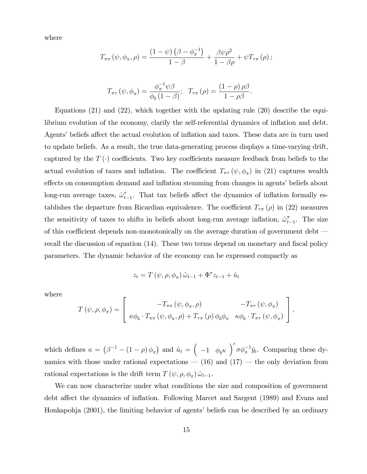where

$$
T_{\pi\pi}(\psi,\phi_{\pi},\rho)=\frac{(1-\psi)\left(\beta-\phi_{\pi}^{-1}\right)}{1-\beta}+\frac{\beta\psi\rho^{2}}{1-\beta\rho}+\psi T_{\tau\pi}(\rho);
$$

$$
T_{\pi\tau}(\psi,\phi_{\pi})=\frac{\phi_{\pi}^{-1}\psi\beta}{\phi_{b}(1-\beta)};\ \ T_{\tau\pi}(\rho)=\frac{(1-\rho)\,\rho\beta}{1-\rho\beta}.
$$

Equations (21) and (22), which together with the updating rule (20) describe the equilibrium evolution of the economy, clarify the self-referential dynamics of inflation and debt. Agents' beliefs affect the actual evolution of inflation and taxes. These data are in turn used to update beliefs. As a result, the true data-generating process displays a time-varying drift, captured by the  $T(\cdot)$  coefficients. Two key coefficients measure feedback from beliefs to the actual evolution of taxes and inflation. The coefficient  $T_{\pi\tau}(\psi, \phi_{\pi})$  in (21) captures wealth effects on consumption demand and inflation stemming from changes in agents' beliefs about long-run average taxes,  $\hat{\omega}_t^{\tau}$  $\tau_{t-1}$ . That tax beliefs affect the dynamics of inflation formally establishes the departure from Ricardian equivalence. The coefficient  $T_{\tau\pi}(\rho)$  in (22) measures the sensitivity of taxes to shifts in beliefs about long-run average inflation,  $\hat{\omega}_t^{\pi}$  $_{t-1}^{\pi}$ . The size of this coefficient depends non-monotonically on the average duration of government debt  $$ recall the discussion of equation (14). These two terms depend on monetary and fiscal policy parameters. The dynamic behavior of the economy can be expressed compactly as

$$
z_t = T(\psi, \rho, \phi_\pi) \hat{\omega}_{t-1} + \Phi^* z_{t-1} + \hat{u}_t
$$

where

$$
T(\psi, \rho, \phi_{\pi}) = \begin{bmatrix} -T_{\pi\pi}(\psi, \phi_{\pi}, \rho) & -T_{\pi\tau}(\psi, \phi_{\pi}) \\ \kappa\phi_{b} \cdot T_{\pi\pi}(\psi, \phi_{\pi}, \rho) + T_{\tau\pi}(\rho) \phi_{b}\phi_{\pi} & \kappa\phi_{b} \cdot T_{\pi\tau}(\psi, \phi_{\pi}) \end{bmatrix},
$$

which defines  $\kappa = (\beta^{-1} - (1 - \rho) \phi_{\pi})$  and  $\hat{u}_t = (-1 \phi_b \kappa) \sigma \phi_{\pi}^{-1} \hat{y}_t$ . Comparing these dynamics with those under rational expectations  $-$  (16) and (17)  $-$  the only deviation from rational expectations is the drift term  $T(\psi, \rho, \phi_{\pi}) \hat{\omega}_{t-1}$ .

We can now characterize under what conditions the size and composition of government debt affect the dynamics of inflation. Following Marcet and Sargent (1989) and Evans and Honkapohja (2001), the limiting behavior of agents' beliefs can be described by an ordinary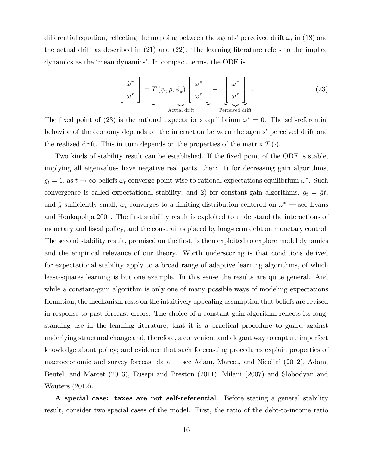differential equation, reflecting the mapping between the agents' perceived drift  $\hat{\omega}_t$  in (18) and the actual drift as described in (21) and (22). The learning literature refers to the implied dynamics as the 'mean dynamics'. In compact terms, the ODE is

$$
\begin{bmatrix}\n\dot{\omega}^{\pi} \\
\dot{\omega}^{\tau}\n\end{bmatrix} = T(\psi, \rho, \phi_{\pi}) \begin{bmatrix}\n\omega^{\pi} \\
\omega^{\tau}\n\end{bmatrix} - \begin{bmatrix}\n\omega^{\pi} \\
\omega^{\tau}\n\end{bmatrix}.
$$
\n(23)\n\n
$$
\text{Actual drift}\n\text{Percentage drift}
$$

The fixed point of (23) is the rational expectations equilibrium  $\omega^* = 0$ . The self-referential behavior of the economy depends on the interaction between the agents' perceived drift and the realized drift. This in turn depends on the properties of the matrix  $T(\cdot)$ .

Two kinds of stability result can be established. If the fixed point of the ODE is stable, implying all eigenvalues have negative real parts, then: 1) for decreasing gain algorithms,  $g_t = 1$ , as  $t \to \infty$  beliefs  $\hat{\omega}_t$  converge point-wise to rational expectations equilibrium  $\omega^*$ . Such convergence is called expectational stability; and 2) for constant-gain algorithms,  $g_t = \bar{g}t$ , and  $\bar{g}$  sufficiently small,  $\hat{\omega}_t$  converges to a limiting distribution centered on  $\omega^*$  — see Evans and Honkapohja 2001. The first stability result is exploited to understand the interactions of monetary and fiscal policy, and the constraints placed by long-term debt on monetary control. The second stability result, premised on the first, is then exploited to explore model dynamics and the empirical relevance of our theory. Worth underscoring is that conditions derived for expectational stability apply to a broad range of adaptive learning algorithms, of which least-squares learning is but one example. In this sense the results are quite general. And while a constant-gain algorithm is only one of many possible ways of modeling expectations formation, the mechanism rests on the intuitively appealing assumption that beliefs are revised in response to past forecast errors. The choice of a constant-gain algorithm reflects its longstanding use in the learning literature; that it is a practical procedure to guard against underlying structural change and, therefore, a convenient and elegant way to capture imperfect knowledge about policy; and evidence that such forecasting procedures explain properties of macroeconomic and survey forecast data  $\sim$  see Adam, Marcet, and Nicolini (2012), Adam, Beutel, and Marcet (2013), Eusepi and Preston (2011), Milani (2007) and Slobodyan and Wouters (2012).

A special case: taxes are not self-referential. Before stating a general stability result, consider two special cases of the model. First, the ratio of the debt-to-income ratio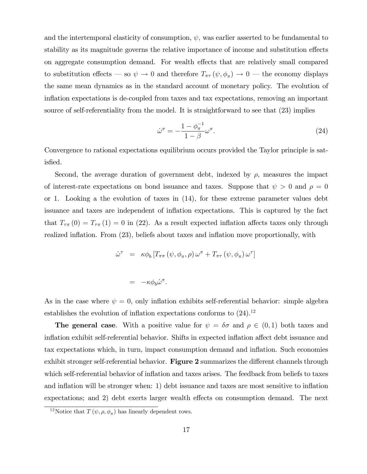and the intertemporal elasticity of consumption,  $\psi$ , was earlier asserted to be fundamental to stability as its magnitude governs the relative importance of income and substitution effects on aggregate consumption demand. For wealth effects that are relatively small compared to substitution effects – so  $\psi \to 0$  and therefore  $T_{\pi\tau} (\psi, \phi_{\pi}) \to 0$  – the economy displays the same mean dynamics as in the standard account of monetary policy. The evolution of inflation expectations is de-coupled from taxes and tax expectations, removing an important source of self-referentiality from the model. It is straightforward to see that (23) implies

$$
\dot{\omega}^{\pi} = -\frac{1 - \phi_{\pi}^{-1}}{1 - \beta} \omega^{\pi}.
$$
\n(24)

Convergence to rational expectations equilibrium occurs provided the Taylor principle is satisfied.

Second, the average duration of government debt, indexed by  $\rho$ , measures the impact of interest-rate expectations on bond issuance and taxes. Suppose that  $\psi > 0$  and  $\rho = 0$ or 1. Looking a the evolution of taxes in (14), for these extreme parameter values debt issuance and taxes are independent of ináation expectations. This is captured by the fact that  $T_{\tau\pi}(0) = T_{\tau\pi}(1) = 0$  in (22). As a result expected inflation affects taxes only through realized inflation. From  $(23)$ , beliefs about taxes and inflation move proportionally, with

$$
\dot{\omega}^{\tau} = \kappa \phi_b \left[ T_{\pi\pi} \left( \psi, \phi_{\pi}, \rho \right) \omega^{\pi} + T_{\pi\tau} \left( \psi, \phi_{\pi} \right) \omega^{\tau} \right]
$$

$$
= -\kappa \phi_b \dot{\omega}^\pi.
$$

As in the case where  $\psi = 0$ , only inflation exhibits self-referential behavior: simple algebra establishes the evolution of inflation expectations conforms to  $(24).^{12}$ 

**The general case**. With a positive value for  $\psi = \delta \sigma$  and  $\rho \in (0,1)$  both taxes and inflation exhibit self-referential behavior. Shifts in expected inflation affect debt issuance and tax expectations which, in turn, impact consumption demand and ináation. Such economies exhibit stronger self-referential behavior. Figure 2 summarizes the different channels through which self-referential behavior of inflation and taxes arises. The feedback from beliefs to taxes and inflation will be stronger when: 1) debt issuance and taxes are most sensitive to inflation expectations; and 2) debt exerts larger wealth effects on consumption demand. The next

<sup>&</sup>lt;sup>12</sup>Notice that  $T(\psi, \rho, \phi_{\pi})$  has linearly dependent rows.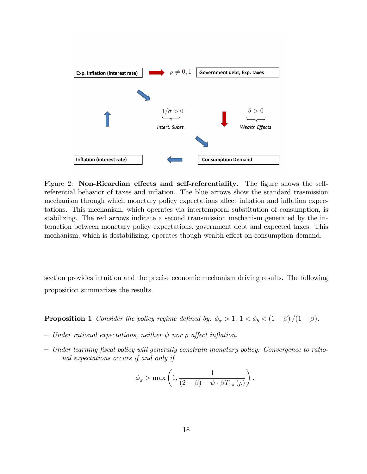

Figure 2: Non-Ricardian effects and self-referentiality. The figure shows the selfreferential behavior of taxes and ináation. The blue arrows show the standard trasmission mechanism through which monetary policy expectations affect inflation and inflation expectations. This mechanism, which operates via intertemporal substitution of consumption, is stabilizing. The red arrows indicate a second transmission mechanism generated by the interaction between monetary policy expectations, government debt and expected taxes. This mechanism, which is destabilizing, operates though wealth effect on consumption demand.

section provides intuition and the precise economic mechanism driving results. The following proposition summarizes the results.

**Proposition 1** Consider the policy regime defined by:  $\phi_{\pi} > 1$ ;  $1 < \phi_{b} < (1 + \beta)/(1 - \beta)$ .

- Under rational expectations, neither  $\psi$  nor  $\rho$  affect inflation.
- Under learning fiscal policy will generally constrain monetary policy. Convergence to rational expectations occurs if and only if

$$
\phi_{\pi} > \max\left(1, \frac{1}{(2-\beta) - \psi \cdot \beta T_{\tau\pi}(\rho)}\right).
$$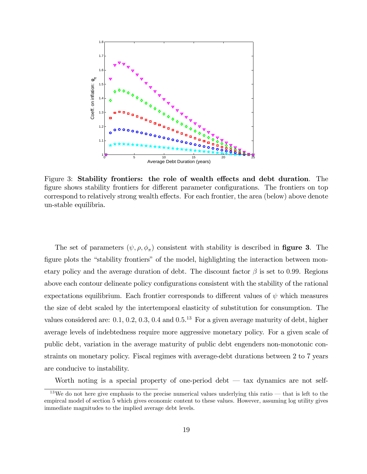

Figure 3: Stability frontiers: the role of wealth effects and debt duration. The figure shows stability frontiers for different parameter configurations. The frontiers on top correspond to relatively strong wealth effects. For each frontier, the area (below) above denote un-stable equilibria.

The set of parameters  $(\psi, \rho, \phi_\pi)$  consistent with stability is described in **figure 3**. The figure plots the "stability frontiers" of the model, highlighting the interaction between monetary policy and the average duration of debt. The discount factor  $\beta$  is set to 0.99. Regions above each contour delineate policy configurations consistent with the stability of the rational expectations equilibrium. Each frontier corresponds to different values of  $\psi$  which measures the size of debt scaled by the intertemporal elasticity of substitution for consumption. The values considered are:  $0.1, 0.2, 0.3, 0.4$  and  $0.5<sup>13</sup>$  For a given average maturity of debt, higher average levels of indebtedness require more aggressive monetary policy. For a given scale of public debt, variation in the average maturity of public debt engenders non-monotonic constraints on monetary policy. Fiscal regimes with average-debt durations between 2 to 7 years are conducive to instability.

Worth noting is a special property of one-period debt  $-$  tax dynamics are not self-

 $13$ We do not here give emphasis to the precise numerical values underlying this ratio – that is left to the empircal model of section 5 which gives economic content to these values. However, assuming log utility gives immediate magnitudes to the implied average debt levels.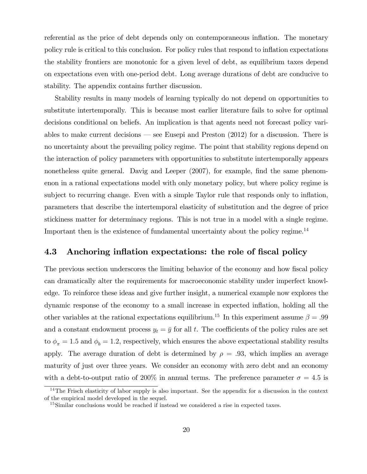referential as the price of debt depends only on contemporaneous ináation. The monetary policy rule is critical to this conclusion. For policy rules that respond to ináation expectations the stability frontiers are monotonic for a given level of debt, as equilibrium taxes depend on expectations even with one-period debt. Long average durations of debt are conducive to stability. The appendix contains further discussion.

Stability results in many models of learning typically do not depend on opportunities to substitute intertemporally. This is because most earlier literature fails to solve for optimal decisions conditional on beliefs. An implication is that agents need not forecast policy variables to make current decisions  $\sim$  see Eusepi and Preston (2012) for a discussion. There is no uncertainty about the prevailing policy regime. The point that stability regions depend on the interaction of policy parameters with opportunities to substitute intertemporally appears nonetheless quite general. Davig and Leeper (2007), for example, find the same phenomenon in a rational expectations model with only monetary policy, but where policy regime is subject to recurring change. Even with a simple Taylor rule that responds only to inflation, parameters that describe the intertemporal elasticity of substitution and the degree of price stickiness matter for determinacy regions. This is not true in a model with a single regime. Important then is the existence of fundamental uncertainty about the policy regime.<sup>14</sup>

### 4.3 Anchoring inflation expectations: the role of fiscal policy

The previous section underscores the limiting behavior of the economy and how fiscal policy can dramatically alter the requirements for macroeconomic stability under imperfect knowledge. To reinforce these ideas and give further insight, a numerical example now explores the dynamic response of the economy to a small increase in expected ináation, holding all the other variables at the rational expectations equilibrium.<sup>15</sup> In this experiment assume  $\beta = .99$ and a constant endowment process  $y_t = \bar{y}$  for all t. The coefficients of the policy rules are set to  $\phi_{\pi} = 1.5$  and  $\phi_{b} = 1.2$ , respectively, which ensures the above expectational stability results apply. The average duration of debt is determined by  $\rho = .93$ , which implies an average maturity of just over three years. We consider an economy with zero debt and an economy with a debt-to-output ratio of 200% in annual terms. The preference parameter  $\sigma = 4.5$  is

 $14$ The Frisch elasticity of labor supply is also important. See the appendix for a discussion in the context of the empirical model developed in the sequel.

<sup>&</sup>lt;sup>15</sup>Similar conclusions would be reached if instead we considered a rise in expected taxes.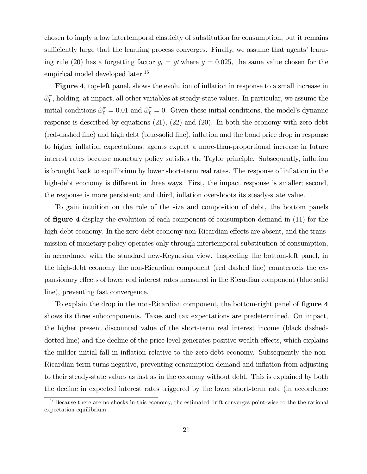chosen to imply a low intertemporal elasticity of substitution for consumption, but it remains sufficiently large that the learning process converges. Finally, we assume that agents' learning rule (20) has a forgetting factor  $g_t = \bar{g}t$  where  $\bar{g} = 0.025$ , the same value chosen for the empirical model developed later.<sup>16</sup>

Figure 4, top-left panel, shows the evolution of inflation in response to a small increase in  $\hat{\omega}_0^{\pi}$  $_{0}^{\pi}$ , holding, at impact, all other variables at steady-state values. In particular, we assume the initial conditions  $\hat{\omega}_0^{\pi} = 0.01$  and  $\hat{\omega}_0^{\pi} = 0$ . Given these initial conditions, the model's dynamic response is described by equations (21), (22) and (20). In both the economy with zero debt (red-dashed line) and high debt (blue-solid line), ináation and the bond price drop in response to higher inflation expectations; agents expect a more-than-proportional increase in future interest rates because monetary policy satisfies the Taylor principle. Subsequently, inflation is brought back to equilibrium by lower short-term real rates. The response of ináation in the high-debt economy is different in three ways. First, the impact response is smaller; second, the response is more persistent; and third, inflation overshoots its steady-state value.

To gain intuition on the role of the size and composition of debt, the bottom panels of **figure** 4 display the evolution of each component of consumption demand in (11) for the high-debt economy. In the zero-debt economy non-Ricardian effects are absent, and the transmission of monetary policy operates only through intertemporal substitution of consumption, in accordance with the standard new-Keynesian view. Inspecting the bottom-left panel, in the high-debt economy the non-Ricardian component (red dashed line) counteracts the expansionary effects of lower real interest rates measured in the Ricardian component (blue solid line), preventing fast convergence.

To explain the drop in the non-Ricardian component, the bottom-right panel of figure 4 shows its three subcomponents. Taxes and tax expectations are predetermined. On impact, the higher present discounted value of the short-term real interest income (black dasheddotted line) and the decline of the price level generates positive wealth effects, which explains the milder initial fall in inflation relative to the zero-debt economy. Subsequently the non-Ricardian term turns negative, preventing consumption demand and inflation from adjusting to their steady-state values as fast as in the economy without debt. This is explained by both the decline in expected interest rates triggered by the lower short-term rate (in accordance

<sup>&</sup>lt;sup>16</sup>Because there are no shocks in this economy, the estimated drift converges point-wise to the the rational expectation equilibrium.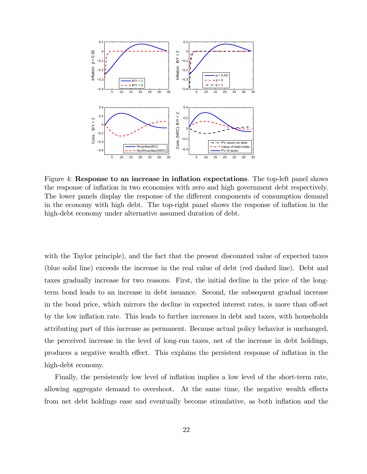

Figure 4: Response to an increase in inflation expectations. The top-left panel shows the response of ináation in two economies with zero and high government debt respectively. The lower panels display the response of the different components of consumption demand in the economy with high debt. The top-right panel shows the response of inflation in the high-debt economy under alternative assumed duration of debt.

with the Taylor principle), and the fact that the present discounted value of expected taxes (blue solid line) exceeds the increase in the real value of debt (red dashed line). Debt and taxes gradually increase for two reasons. First, the initial decline in the price of the longterm bond leads to an increase in debt issuance. Second, the subsequent gradual increase in the bond price, which mirrors the decline in expected interest rates, is more than off-set by the low ináation rate. This leads to further increases in debt and taxes, with households attributing part of this increase as permanent. Because actual policy behavior is unchanged, the perceived increase in the level of long-run taxes, net of the increase in debt holdings, produces a negative wealth effect. This explains the persistent response of inflation in the high-debt economy.

Finally, the persistently low level of inflation implies a low level of the short-term rate, allowing aggregate demand to overshoot. At the same time, the negative wealth effects from net debt holdings ease and eventually become stimulative, as both inflation and the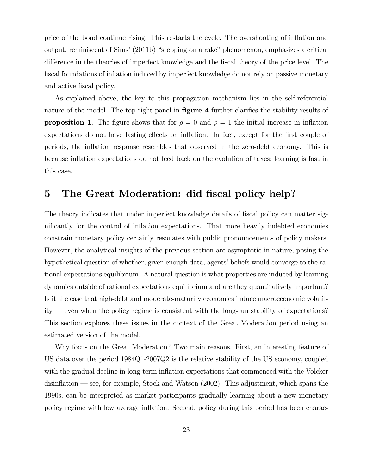price of the bond continue rising. This restarts the cycle. The overshooting of ináation and output, reminiscent of Sims'  $(2011b)$  "stepping on a rake" phenomenon, emphasizes a critical difference in the theories of imperfect knowledge and the fiscal theory of the price level. The fiscal foundations of inflation induced by imperfect knowledge do not rely on passive monetary and active fiscal policy.

As explained above, the key to this propagation mechanism lies in the self-referential nature of the model. The top-right panel in **figure 4** further clarifies the stability results of **proposition 1**. The figure shows that for  $\rho = 0$  and  $\rho = 1$  the initial increase in inflation expectations do not have lasting effects on inflation. In fact, except for the first couple of periods, the ináation response resembles that observed in the zero-debt economy. This is because inflation expectations do not feed back on the evolution of taxes; learning is fast in this case.

# 5 The Great Moderation: did fiscal policy help?

The theory indicates that under imperfect knowledge details of fiscal policy can matter significantly for the control of inflation expectations. That more heavily indebted economies constrain monetary policy certainly resonates with public pronouncements of policy makers. However, the analytical insights of the previous section are asymptotic in nature, posing the hypothetical question of whether, given enough data, agents' beliefs would converge to the rational expectations equilibrium. A natural question is what properties are induced by learning dynamics outside of rational expectations equilibrium and are they quantitatively important? Is it the case that high-debt and moderate-maturity economies induce macroeconomic volatil $ity$  – even when the policy regime is consistent with the long-run stability of expectations? This section explores these issues in the context of the Great Moderation period using an estimated version of the model.

Why focus on the Great Moderation? Two main reasons. First, an interesting feature of US data over the period 1984Q1-2007Q2 is the relative stability of the US economy, coupled with the gradual decline in long-term inflation expectations that commenced with the Volcker disinflation  $\sim$  see, for example, Stock and Watson (2002). This adjustment, which spans the 1990s, can be interpreted as market participants gradually learning about a new monetary policy regime with low average ináation. Second, policy during this period has been charac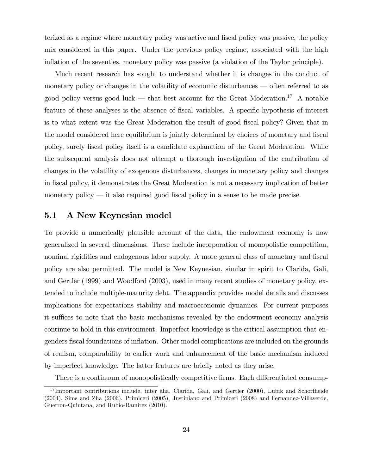terized as a regime where monetary policy was active and fiscal policy was passive, the policy mix considered in this paper. Under the previous policy regime, associated with the high inflation of the seventies, monetary policy was passive (a violation of the Taylor principle).

Much recent research has sought to understand whether it is changes in the conduct of monetary policy or changes in the volatility of economic disturbances  $-$  often referred to as good policy versus good luck – that best account for the Great Moderation.<sup>17</sup> A notable feature of these analyses is the absence of fiscal variables. A specific hypothesis of interest is to what extent was the Great Moderation the result of good fiscal policy? Given that in the model considered here equilibrium is jointly determined by choices of monetary and fiscal policy, surely Öscal policy itself is a candidate explanation of the Great Moderation. While the subsequent analysis does not attempt a thorough investigation of the contribution of changes in the volatility of exogenous disturbances, changes in monetary policy and changes in fiscal policy, it demonstrates the Great Moderation is not a necessary implication of better monetary policy  $\frac{d}{dx}$  it also required good fiscal policy in a sense to be made precise.

## 5.1 A New Keynesian model

To provide a numerically plausible account of the data, the endowment economy is now generalized in several dimensions. These include incorporation of monopolistic competition, nominal rigidities and endogenous labor supply. A more general class of monetary and fiscal policy are also permitted. The model is New Keynesian, similar in spirit to Clarida, Gali, and Gertler (1999) and Woodford (2003), used in many recent studies of monetary policy, extended to include multiple-maturity debt. The appendix provides model details and discusses implications for expectations stability and macroeconomic dynamics. For current purposes it suffices to note that the basic mechanisms revealed by the endowment economy analysis continue to hold in this environment. Imperfect knowledge is the critical assumption that engenders fiscal foundations of inflation. Other model complications are included on the grounds of realism, comparability to earlier work and enhancement of the basic mechanism induced by imperfect knowledge. The latter features are brieáy noted as they arise.

There is a continuum of monopolistically competitive firms. Each differentiated consump-

<sup>&</sup>lt;sup>17</sup> Important contributions include, inter alia, Clarida, Gali, and Gertler (2000), Lubik and Schorfheide (2004), Sims and Zha (2006), Primiceri (2005), Justiniano and Primiceri (2008) and Fernandez-Villaverde, Guerron-Quintana, and Rubio-Ramirez (2010).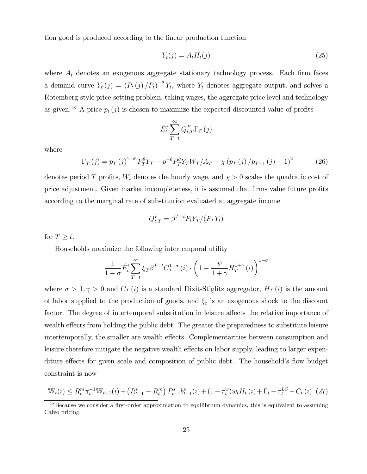tion good is produced according to the linear production function

$$
Y_t(j) = A_t H_t(j) \tag{25}
$$

where  $A_t$  denotes an exogenous aggregate stationary technology process. Each firm faces a demand curve  $Y_t(j) = (P_t(j)/P_t)^{-\theta} Y_t$ , where  $Y_t$  denotes aggregate output, and solves a Rotemberg-style price-setting problem, taking wages, the aggregate price level and technology as given.<sup>18</sup> A price  $p_t(j)$  is chosen to maximize the expected discounted value of profits

$$
\hat{E}_t^j \sum_{T=t}^{\infty} Q_{t,T}^F \Gamma_T(j)
$$

where

$$
\Gamma_T(j) = p_T(j)^{1-\theta} P_T^{\theta} Y_T - p^{-\theta} P_T^{\theta} Y_T W_T / A_T - \chi (p_T(j) / p_{T-1}(j) - 1)^2 \tag{26}
$$

denotes period T profits,  $W_t$  denotes the hourly wage, and  $\chi > 0$  scales the quadratic cost of price adjustment. Given market incompleteness, it is assumed that firms value future profits according to the marginal rate of substitution evaluated at aggregate income

$$
Q_{t,T}^F = \beta^{T-t} P_t Y_T / (P_T Y_t)
$$

for  $T \geq t$ .

Households maximize the following intertemporal utility

$$
\frac{1}{1-\sigma}\hat{E}_t^i \sum_{T=t}^{\infty} \xi_T \beta^{T-t} C_T^{1-\sigma}(i) \cdot \left(1 - \frac{\psi}{1+\gamma} H_T^{1+\gamma}(i)\right)^{1-\sigma}
$$

where  $\sigma > 1, \gamma > 0$  and  $C_T(i)$  is a standard Dixit-Stiglitz aggregator,  $H_T(i)$  is the amount of labor supplied to the production of goods, and  $\xi_t$  is an exogenous shock to the discount factor. The degree of intertemporal substitution in leisure affects the relative importance of wealth effects from holding the public debt. The greater the preparedness to substitute leisure intertemporally, the smaller are wealth effects. Complementarities between consumption and leisure therefore mitigate the negative wealth effects on labor supply, leading to larger expenditure effects for given scale and composition of public debt. The household's flow budget constraint is now

$$
\mathbb{W}_{t}(i) \leq R_{t}^{m} \pi_{t}^{-1} \mathbb{W}_{t-1}(i) + \left(R_{t-1}^{s} - R_{t}^{m}\right) P_{t-1}^{s} b_{t-1}^{s}(i) + (1 - \tau_{t}^{w}) w_{t} H_{t}(i) + \Gamma_{t} - \tau_{t}^{LS} - C_{t}(i) \tag{27}
$$

 $18$ Because we consider a first-order approximation to equilibrium dynamics, this is equivalent to assuming Calvo pricing.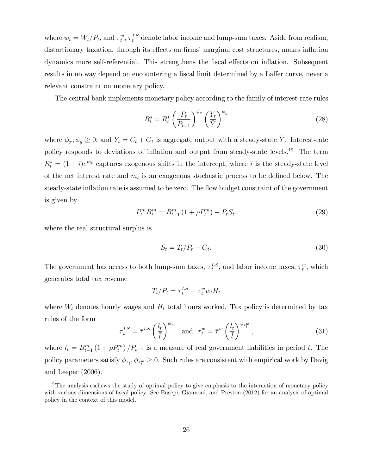where  $w_t = W_t/P_t$ , and  $\tau_t^w$ ,  $\tau_t^{LS}$  denote labor income and lump-sum taxes. Aside from realism, distortionary taxation, through its effects on firms' marginal cost structures, makes inflation dynamics more self-referential. This strengthens the fiscal effects on inflation. Subsequent results in no way depend on encountering a fiscal limit determined by a Laffer curve, never a relevant constraint on monetary policy.

The central bank implements monetary policy according to the family of interest-rate rules

$$
R_t^s = R_t^* \left(\frac{P_t}{P_{t-1}}\right)^{\phi_{\pi}} \left(\frac{Y_t}{\bar{Y}}\right)^{\phi_y} \tag{28}
$$

where  $\phi_{\pi}, \phi_y \geq 0$ ; and  $Y_t = C_t + G_t$  is aggregate output with a steady-state  $\overline{Y}$ . Interest-rate policy responds to deviations of inflation and output from steady-state levels.<sup>19</sup> The term  $R_t^* = (1 + \bar{\imath})e^{m_t}$  captures exogenous shifts in the intercept, where  $\bar{\imath}$  is the steady-state level of the net interest rate and  $m_t$  is an exogenous stochastic process to be defined below. The steady-state inflation rate is assumed to be zero. The flow budget constraint of the government is given by

$$
P_t^m B_t^m = B_{t-1}^m \left( 1 + \rho P_t^m \right) - P_t S_t. \tag{29}
$$

where the real structural surplus is

$$
S_t = T_t / P_t - G_t. \tag{30}
$$

The government has access to both lump-sum taxes,  $\tau_t^{LS}$ , and labor income taxes,  $\tau_t^w$ , which generates total tax revenue

$$
T_t/P_t = \tau_t^{LS} + \tau_t^w w_t H_t
$$

where  $W_t$  denotes hourly wages and  $H_t$  total hours worked. Tax policy is determined by tax rules of the form

$$
\tau_t^{LS} = \bar{\tau}^{LS} \left(\frac{l_t}{\bar{l}}\right)^{\phi_{\tau_l}} \quad \text{and} \quad \tau_t^w = \bar{\tau}^w \left(\frac{l_t}{\bar{l}}\right)^{\phi_{\tau_l^w}},\tag{31}
$$

where  $l_t = B_{t-1}^m (1 + \rho P_t^m) / P_{t-1}$  is a measure of real government liabilities in period t. The policy parameters satisfy  $\phi_{\tau_l}, \phi_{\tau_l^w} \ge 0$ . Such rules are consistent with empirical work by Davig and Leeper (2006).

<sup>&</sup>lt;sup>19</sup>The analysis eschews the study of optimal policy to give emphasis to the interaction of monetary policy with various dimensions of fiscal policy. See Eusepi, Giannoni, and Preston (2012) for an analysis of optimal policy in the context of this model.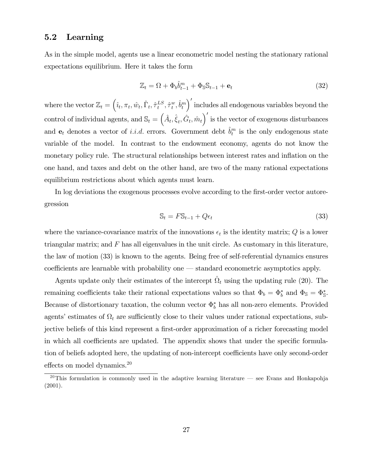# 5.2 Learning

As in the simple model, agents use a linear econometric model nesting the stationary rational expectations equilibrium. Here it takes the form

$$
\mathbb{Z}_t = \Omega + \Phi_b \hat{b}_{t-1}^m + \Phi_{\mathbb{S}} \mathbb{S}_{t-1} + \mathbf{e}_t \tag{32}
$$

where the vector  $\mathbb{Z}_t = \left(\hat{\imath}_t, \pi_t, \hat{w}_t, \hat{\Gamma}_t, \hat{\tau}_t^{LS}\right)$  $_{t}^{LS},\hat{\tau}_{t}^{w}$  $^w_t, \hat{b}^m_t$ 0 includes all endogenous variables beyond the control of individual agents, and  $\mathbb{S}_t = (\hat{A}_t, \hat{\xi}_t, \hat{G}_t, \hat{m}_t)'$  is the vector of exogenous disturbances and  $e_t$  denotes a vector of *i.i.d.* errors. Government debt  $\hat{b}^m_t$  is the only endogenous state variable of the model. In contrast to the endowment economy, agents do not know the monetary policy rule. The structural relationships between interest rates and inflation on the one hand, and taxes and debt on the other hand, are two of the many rational expectations equilibrium restrictions about which agents must learn.

In log deviations the exogenous processes evolve according to the first-order vector autoregression

$$
\mathbb{S}_t = F\mathbb{S}_{t-1} + Q\epsilon_t \tag{33}
$$

where the variance-covariance matrix of the innovations  $\epsilon_t$  is the identity matrix; Q is a lower triangular matrix; and  $F$  has all eigenvalues in the unit circle. As customary in this literature, the law of motion (33) is known to the agents. Being free of self-referential dynamics ensures  $coefficients$  are learnable with probability one  $-$  standard econometric asymptotics apply.

Agents update only their estimates of the intercept  $\hat{\Omega}_t$  using the updating rule (20). The remaining coefficients take their rational expectations values so that  $\Phi_b = \Phi_b^*$  and  $\Phi_s = \Phi_s^*$ . Because of distortionary taxation, the column vector  $\Phi_b^*$  has all non-zero elements. Provided agents' estimates of  $\Omega_t$  are sufficiently close to their values under rational expectations, subjective beliefs of this kind represent a first-order approximation of a richer forecasting model in which all coefficients are updated. The appendix shows that under the specific formulation of beliefs adopted here, the updating of non-intercept coefficients have only second-order effects on model dynamics. $20$ 

<sup>&</sup>lt;sup>20</sup>This formulation is commonly used in the adaptive learning literature – see Evans and Honkapohja (2001).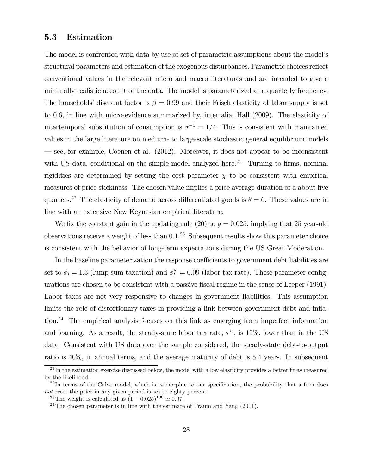## 5.3 Estimation

The model is confronted with data by use of set of parametric assumptions about the model's structural parameters and estimation of the exogenous disturbances. Parametric choices reflect conventional values in the relevant micro and macro literatures and are intended to give a minimally realistic account of the data. The model is parameterized at a quarterly frequency. The households' discount factor is  $\beta = 0.99$  and their Frisch elasticity of labor supply is set to 0:6, in line with micro-evidence summarized by, inter alia, Hall (2009). The elasticity of intertemporal substitution of consumption is  $\sigma^{-1} = 1/4$ . This is consistent with maintained values in the large literature on medium- to large-scale stochastic general equilibrium models  $\sim$  see, for example, Coenen et al. (2012). Moreover, it does not appear to be inconsistent with US data, conditional on the simple model analyzed here.<sup>21</sup> Turning to firms, nominal rigidities are determined by setting the cost parameter  $\chi$  to be consistent with empirical measures of price stickiness. The chosen value implies a price average duration of a about five quarters.<sup>22</sup> The elasticity of demand across differentiated goods is  $\theta = 6$ . These values are in line with an extensive New Keynesian empirical literature.

We fix the constant gain in the updating rule (20) to  $\bar{g} = 0.025$ , implying that 25 year-old observations receive a weight of less than  $0.1<sup>23</sup>$  Subsequent results show this parameter choice is consistent with the behavior of long-term expectations during the US Great Moderation.

In the baseline parameterization the response coefficients to government debt liabilities are set to  $\phi_l = 1.3$  (lump-sum taxation) and  $\phi_l^w = 0.09$  (labor tax rate). These parameter configurations are chosen to be consistent with a passive fiscal regime in the sense of Leeper (1991). Labor taxes are not very responsive to changes in government liabilities. This assumption limits the role of distortionary taxes in providing a link between government debt and inflation.<sup>24</sup> The empirical analysis focuses on this link as emerging from imperfect information and learning. As a result, the steady-state labor tax rate,  $\bar{\tau}^w$ , is 15%, lower than in the US data. Consistent with US data over the sample considered, the steady-state debt-to-output ratio is 40%, in annual terms, and the average maturity of debt is 5:4 years. In subsequent

 $^{21}$ In the estimation exercise discussed below, the model with a low elasticity provides a better fit as measured by the likelihood.

 $^{22}$ In terms of the Calvo model, which is isomorphic to our specification, the probability that a firm does not reset the price in any given period is set to eighty percent.

<sup>&</sup>lt;sup>23</sup>The weight is calculated as  $(1 - 0.025)^{100} \approx 0.07$ .

<sup>&</sup>lt;sup>24</sup>The chosen parameter is in line with the estimate of Traum and Yang  $(2011)$ .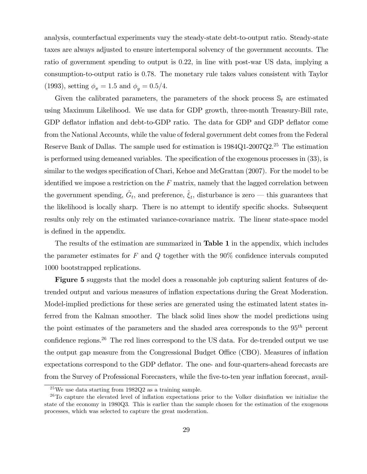analysis, counterfactual experiments vary the steady-state debt-to-output ratio. Steady-state taxes are always adjusted to ensure intertemporal solvency of the government accounts. The ratio of government spending to output is 0:22, in line with post-war US data, implying a consumption-to-output ratio is 0:78. The monetary rule takes values consistent with Taylor (1993), setting  $\phi_{\pi} = 1.5$  and  $\phi_{\nu} = 0.5/4$ .

Given the calibrated parameters, the parameters of the shock process  $\mathbb{S}_t$  are estimated using Maximum Likelihood. We use data for GDP growth, three-month Treasury-Bill rate, GDP deflator inflation and debt-to-GDP ratio. The data for GDP and GDP deflator come from the National Accounts, while the value of federal government debt comes from the Federal Reserve Bank of Dallas. The sample used for estimation is 1984Q1-2007Q2.<sup>25</sup> The estimation is performed using demeaned variables. The specification of the exogenous processes in  $(33)$ , is similar to the wedges specification of Chari, Kehoe and McGrattan (2007). For the model to be identified we impose a restriction on the  $F$  matrix, namely that the lagged correlation between the government spending,  $\hat{G}_t$ , and preference,  $\hat{\xi}_t$ , disturbance is zero — this guarantees that the likelihood is locally sharp. There is no attempt to identify specific shocks. Subsequent results only rely on the estimated variance-covariance matrix. The linear state-space model is defined in the appendix.

The results of the estimation are summarized in Table 1 in the appendix, which includes the parameter estimates for  $F$  and  $Q$  together with the 90% confidence intervals computed 1000 bootstrapped replications.

Figure 5 suggests that the model does a reasonable job capturing salient features of detrended output and various measures of ináation expectations during the Great Moderation. Model-implied predictions for these series are generated using the estimated latent states inferred from the Kalman smoother. The black solid lines show the model predictions using the point estimates of the parameters and the shaded area corresponds to the  $95<sup>th</sup>$  percent confidence regions.<sup>26</sup> The red lines correspond to the US data. For de-trended output we use the output gap measure from the Congressional Budget Office (CBO). Measures of inflation expectations correspond to the GDP deflator. The one- and four-quarters-ahead forecasts are from the Survey of Professional Forecasters, while the five-to-ten year inflation forecast, avail-

<sup>25</sup>We use data starting from 1982Q2 as a training sample.

 $26$ To capture the elevated level of inflation expectations prior to the Volker disinflation we initialize the state of the economy in 1980Q3. This is earlier than the sample chosen for the estimation of the exogenous processes, which was selected to capture the great moderation.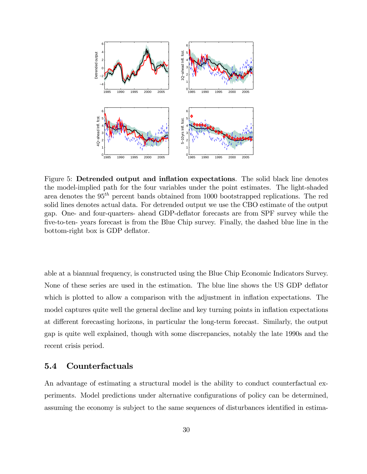

Figure 5: Detrended output and inflation expectations. The solid black line denotes the model-implied path for the four variables under the point estimates. The light-shaded area denotes the 95th percent bands obtained from 1000 bootstrapped replications. The red solid lines denotes actual data. For detrended output we use the CBO estimate of the output gap. One- and four-quarters- ahead GDP-deáator forecasts are from SPF survey while the five-to-ten- years forecast is from the Blue Chip survey. Finally, the dashed blue line in the bottom-right box is GDP deflator.

able at a biannual frequency, is constructed using the Blue Chip Economic Indicators Survey. None of these series are used in the estimation. The blue line shows the US GDP deflator which is plotted to allow a comparison with the adjustment in inflation expectations. The model captures quite well the general decline and key turning points in inflation expectations at different forecasting horizons, in particular the long-term forecast. Similarly, the output gap is quite well explained, though with some discrepancies, notably the late 1990s and the recent crisis period.

### 5.4 Counterfactuals

An advantage of estimating a structural model is the ability to conduct counterfactual experiments. Model predictions under alternative configurations of policy can be determined, assuming the economy is subject to the same sequences of disturbances identified in estima-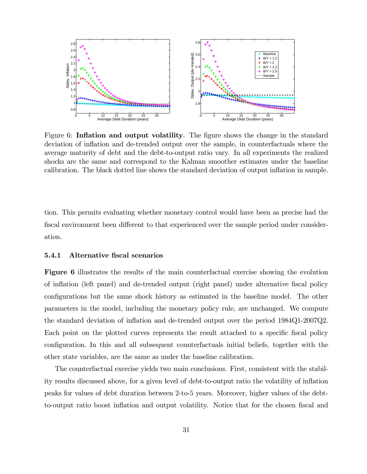

Figure 6: Inflation and output volatility. The figure shows the change in the standard deviation of inflation and de-trended output over the sample, in counterfactuals where the average maturity of debt and the debt-to-output ratio vary. In all experiments the realized shocks are the same and correspond to the Kalman smoother estimates under the baseline calibration. The black dotted line shows the standard deviation of output inflation in sample.

tion. This permits evaluating whether monetary control would have been as precise had the fiscal environment been different to that experienced over the sample period under consideration.

#### 5.4.1 Alternative fiscal scenarios

Figure 6 illustrates the results of the main counterfactual exercise showing the evolution of inflation (left panel) and de-trended output (right panel) under alternative fiscal policy configurations but the same shock history as estimated in the baseline model. The other parameters in the model, including the monetary policy rule, are unchanged. We compute the standard deviation of inflation and de-trended output over the period 1984Q1-2007Q2. Each point on the plotted curves represents the result attached to a specific fiscal policy configuration. In this and all subsequent counterfactuals initial beliefs, together with the other state variables, are the same as under the baseline calibration.

The counterfactual exercise yields two main conclusions. First, consistent with the stability results discussed above, for a given level of debt-to-output ratio the volatility of ináation peaks for values of debt duration between 2-to-5 years. Moreover, higher values of the debtto-output ratio boost inflation and output volatility. Notice that for the chosen fiscal and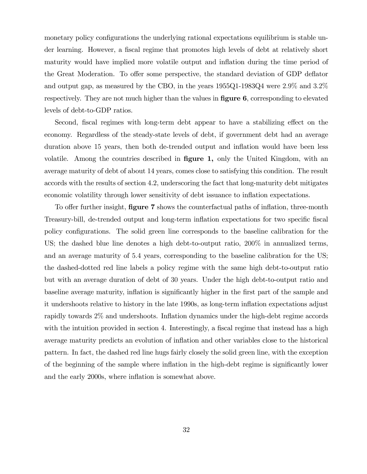monetary policy configurations the underlying rational expectations equilibrium is stable under learning. However, a fiscal regime that promotes high levels of debt at relatively short maturity would have implied more volatile output and inflation during the time period of the Great Moderation. To offer some perspective, the standard deviation of GDP deflator and output gap, as measured by the CBO, in the years  $1955Q1-1983Q4$  were  $2.9\%$  and  $3.2\%$ respectively. They are not much higher than the values in **figure 6**, corresponding to elevated levels of debt-to-GDP ratios.

Second, fiscal regimes with long-term debt appear to have a stabilizing effect on the economy. Regardless of the steady-state levels of debt, if government debt had an average duration above 15 years, then both de-trended output and inflation would have been less volatile. Among the countries described in **figure 1**, only the United Kingdom, with an average maturity of debt of about 14 years, comes close to satisfying this condition. The result accords with the results of section 4.2, underscoring the fact that long-maturity debt mitigates economic volatility through lower sensitivity of debt issuance to inflation expectations.

To offer further insight, **figure 7** shows the counterfactual paths of inflation, three-month Treasury-bill, de-trended output and long-term inflation expectations for two specific fiscal policy configurations. The solid green line corresponds to the baseline calibration for the US; the dashed blue line denotes a high debt-to-output ratio, 200% in annualized terms, and an average maturity of 5.4 years, corresponding to the baseline calibration for the US; the dashed-dotted red line labels a policy regime with the same high debt-to-output ratio but with an average duration of debt of 30 years. Under the high debt-to-output ratio and baseline average maturity, inflation is significantly higher in the first part of the sample and it undershoots relative to history in the late 1990s, as long-term ináation expectations adjust rapidly towards 2% and undershoots. Inflation dynamics under the high-debt regime accords with the intuition provided in section 4. Interestingly, a fiscal regime that instead has a high average maturity predicts an evolution of ináation and other variables close to the historical pattern. In fact, the dashed red line hugs fairly closely the solid green line, with the exception of the beginning of the sample where inflation in the high-debt regime is significantly lower and the early 2000s, where inflation is somewhat above.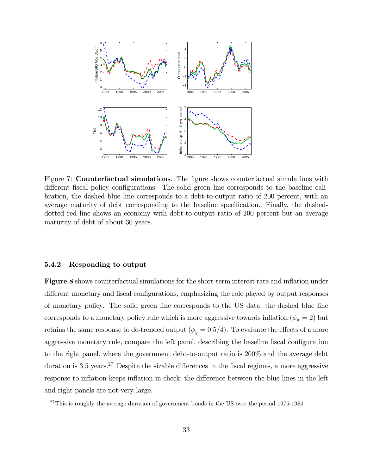

Figure 7: **Counterfactual simulations**. The figure shows counterfactual simulations with different fiscal policy configurations. The solid green line corresponds to the baseline calibration, the dashed blue line corresponds to a debt-to-output ratio of 200 percent, with an average maturity of debt corresponding to the baseline specification. Finally, the dasheddotted red line shows an economy with debt-to-output ratio of 200 percent but an average maturity of debt of about 30 years.

#### 5.4.2 Responding to output

Figure 8 shows counterfactual simulations for the short-term interest rate and inflation under different monetary and fiscal configurations, emphasizing the role played by output responses of monetary policy. The solid green line corresponds to the US data; the dashed blue line corresponds to a monetary policy rule which is more aggressive towards inflation  $(\phi_{\pi} = 2)$  but retains the same response to de-trended output ( $\phi_y = 0.5/4$ ). To evaluate the effects of a more aggressive monetary rule, compare the left panel, describing the baseline fiscal configuration to the right panel, where the government debt-to-output ratio is 200% and the average debt duration is 3.5 years.<sup>27</sup> Despite the sizable differences in the fiscal regimes, a more aggressive response to inflation keeps inflation in check; the difference between the blue lines in the left and right panels are not very large.

 $^{27}$ This is roughly the average duration of government bonds in the US over the period 1975-1984.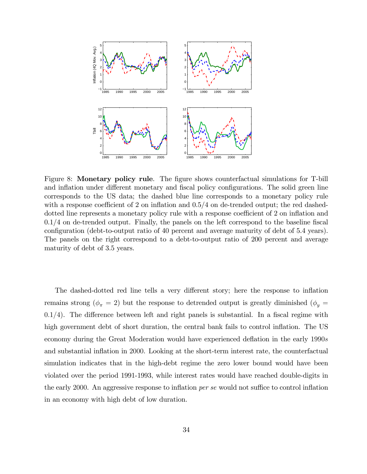

Figure 8: Monetary policy rule. The figure shows counterfactual simulations for T-bill and inflation under different monetary and fiscal policy configurations. The solid green line corresponds to the US data; the dashed blue line corresponds to a monetary policy rule with a response coefficient of 2 on inflation and  $0.5/4$  on de-trended output; the red dasheddotted line represents a monetary policy rule with a response coefficient of 2 on inflation and  $0.1/4$  on de-trended output. Finally, the panels on the left correspond to the baseline fiscal configuration (debt-to-output ratio of 40 percent and average maturity of debt of 5.4 years). The panels on the right correspond to a debt-to-output ratio of 200 percent and average maturity of debt of 3.5 years.

The dashed-dotted red line tells a very different story; here the response to inflation remains strong ( $\phi_{\pi} = 2$ ) but the response to detrended output is greatly diminished ( $\phi_{y} =$  $0.1/4$ ). The difference between left and right panels is substantial. In a fiscal regime with high government debt of short duration, the central bank fails to control inflation. The US economy during the Great Moderation would have experienced deflation in the early 1990s and substantial inflation in 2000. Looking at the short-term interest rate, the counterfactual simulation indicates that in the high-debt regime the zero lower bound would have been violated over the period 1991-1993, while interest rates would have reached double-digits in the early 2000. An aggressive response to inflation *per se* would not suffice to control inflation in an economy with high debt of low duration.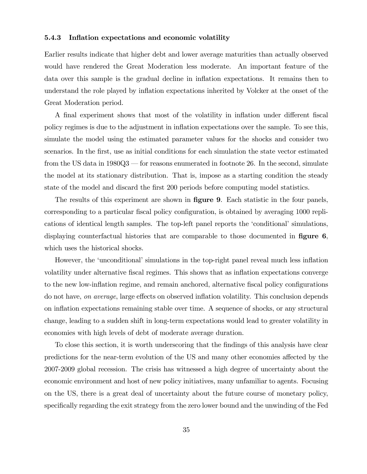#### 5.4.3 Inflation expectations and economic volatility

Earlier results indicate that higher debt and lower average maturities than actually observed would have rendered the Great Moderation less moderate. An important feature of the data over this sample is the gradual decline in inflation expectations. It remains then to understand the role played by inflation expectations inherited by Volcker at the onset of the Great Moderation period.

A final experiment shows that most of the volatility in inflation under different fiscal policy regimes is due to the adjustment in inflation expectations over the sample. To see this, simulate the model using the estimated parameter values for the shocks and consider two scenarios. In the first, use as initial conditions for each simulation the state vector estimated from the US data in  $1980Q3$  – for reasons enumerated in footnote 26. In the second, simulate the model at its stationary distribution. That is, impose as a starting condition the steady state of the model and discard the first 200 periods before computing model statistics.

The results of this experiment are shown in **figure 9**. Each statistic in the four panels, corresponding to a particular fiscal policy configuration, is obtained by averaging 1000 replications of identical length samples. The top-left panel reports the 'conditional' simulations, displaying counterfactual histories that are comparable to those documented in **figure 6**, which uses the historical shocks.

However, the 'unconditional' simulations in the top-right panel reveal much less inflation volatility under alternative fiscal regimes. This shows that as inflation expectations converge to the new low-inflation regime, and remain anchored, alternative fiscal policy configurations do not have, *on average*, large effects on observed inflation volatility. This conclusion depends on ináation expectations remaining stable over time. A sequence of shocks, or any structural change, leading to a sudden shift in long-term expectations would lead to greater volatility in economies with high levels of debt of moderate average duration.

To close this section, it is worth underscoring that the findings of this analysis have clear predictions for the near-term evolution of the US and many other economies affected by the 2007-2009 global recession. The crisis has witnessed a high degree of uncertainty about the economic environment and host of new policy initiatives, many unfamiliar to agents. Focusing on the US, there is a great deal of uncertainty about the future course of monetary policy, specifically regarding the exit strategy from the zero lower bound and the unwinding of the Fed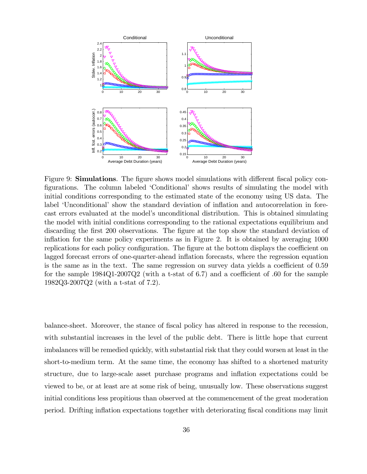

Figure 9: **Simulations**. The figure shows model simulations with different fiscal policy configurations. The column labeled 'Conditional' shows results of simulating the model with initial conditions corresponding to the estimated state of the economy using US data. The label 'Unconditional' show the standard deviation of inflation and autocorrelation in forecast errors evaluated at the modelís unconditional distribution. This is obtained simulating the model with initial conditions corresponding to the rational expectations equilibrium and discarding the first 200 observations. The figure at the top show the standard deviation of inflation for the same policy experiments as in Figure 2. It is obtained by averaging  $1000$ replications for each policy configuration. The figure at the bottom displays the coefficient on lagged forecast errors of one-quarter-ahead inflation forecasts, where the regression equation is the same as in the text. The same regression on survey data yields a coefficient of  $0.59$ for the sample  $1984Q1-2007Q2$  (with a t-stat of 6.7) and a coefficient of .60 for the sample 1982Q3-2007Q2 (with a t-stat of 7.2).

balance-sheet. Moreover, the stance of fiscal policy has altered in response to the recession, with substantial increases in the level of the public debt. There is little hope that current imbalances will be remedied quickly, with substantial risk that they could worsen at least in the short-to-medium term. At the same time, the economy has shifted to a shortened maturity structure, due to large-scale asset purchase programs and ináation expectations could be viewed to be, or at least are at some risk of being, unusually low. These observations suggest initial conditions less propitious than observed at the commencement of the great moderation period. Drifting inflation expectations together with deteriorating fiscal conditions may limit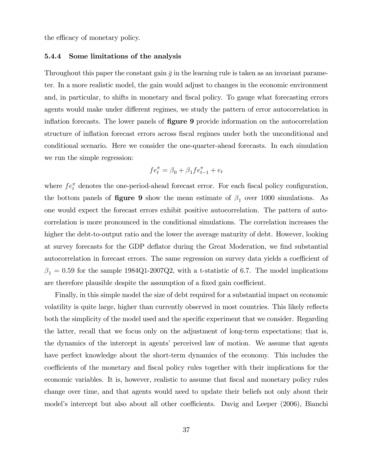the efficacy of monetary policy.

#### 5.4.4 Some limitations of the analysis

Throughout this paper the constant gain  $\bar{g}$  in the learning rule is taken as an invariant parameter. In a more realistic model, the gain would adjust to changes in the economic environment and, in particular, to shifts in monetary and fiscal policy. To gauge what forecasting errors agents would make under different regimes, we study the pattern of error autocorrelation in inflation forecasts. The lower panels of **figure 9** provide information on the autocorrelation structure of inflation forecast errors across fiscal regimes under both the unconditional and conditional scenario. Here we consider the one-quarter-ahead forecasts. In each simulation we run the simple regression:

$$
fe_t^{\pi} = \beta_0 + \beta_1 f e_{t-1}^{\pi} + e_t
$$

where  $fe_t^{\pi}$  denotes the one-period-ahead forecast error. For each fiscal policy configuration, the bottom panels of **figure 9** show the mean estimate of  $\beta_1$  over 1000 simulations. As one would expect the forecast errors exhibit positive autocorrelation. The pattern of autocorrelation is more pronounced in the conditional simulations. The correlation increases the higher the debt-to-output ratio and the lower the average maturity of debt. However, looking at survey forecasts for the GDP deflator during the Great Moderation, we find substantial autocorrelation in forecast errors. The same regression on survey data yields a coefficient of  $\beta_1 = 0.59$  for the sample 1984Q1-2007Q2, with a t-statistic of 6.7. The model implications are therefore plausible despite the assumption of a fixed gain coefficient.

Finally, in this simple model the size of debt required for a substantial impact on economic volatility is quite large, higher than currently observed in most countries. This likely reflects both the simplicity of the model used and the specific experiment that we consider. Regarding the latter, recall that we focus only on the adjustment of long-term expectations; that is, the dynamics of the intercept in agents' perceived law of motion. We assume that agents have perfect knowledge about the short-term dynamics of the economy. This includes the coefficients of the monetary and fiscal policy rules together with their implications for the economic variables. It is, however, realistic to assume that fiscal and monetary policy rules change over time, and that agents would need to update their beliefs not only about their model's intercept but also about all other coefficients. Davig and Leeper (2006), Bianchi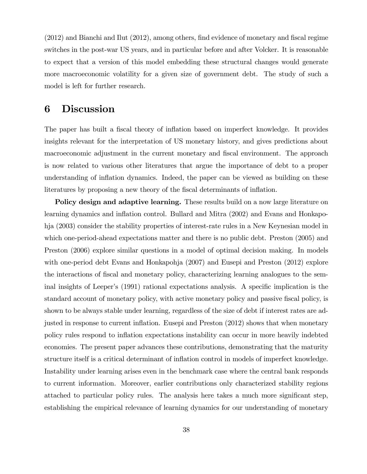$(2012)$  and Bianchi and Ilut  $(2012)$ , among others, find evidence of monetary and fiscal regime switches in the post-war US years, and in particular before and after Volcker. It is reasonable to expect that a version of this model embedding these structural changes would generate more macroeconomic volatility for a given size of government debt. The study of such a model is left for further research.

# 6 Discussion

The paper has built a fiscal theory of inflation based on imperfect knowledge. It provides insights relevant for the interpretation of US monetary history, and gives predictions about macroeconomic adjustment in the current monetary and fiscal environment. The approach is now related to various other literatures that argue the importance of debt to a proper understanding of inflation dynamics. Indeed, the paper can be viewed as building on these literatures by proposing a new theory of the fiscal determinants of inflation.

Policy design and adaptive learning. These results build on a now large literature on learning dynamics and inflation control. Bullard and Mitra (2002) and Evans and Honkapohja (2003) consider the stability properties of interest-rate rules in a New Keynesian model in which one-period-ahead expectations matter and there is no public debt. Preston (2005) and Preston (2006) explore similar questions in a model of optimal decision making. In models with one-period debt Evans and Honkapohja (2007) and Eusepi and Preston (2012) explore the interactions of Öscal and monetary policy, characterizing learning analogues to the seminal insights of Leeper's  $(1991)$  rational expectations analysis. A specific implication is the standard account of monetary policy, with active monetary policy and passive fiscal policy, is shown to be always stable under learning, regardless of the size of debt if interest rates are adjusted in response to current inflation. Eusepi and Preston (2012) shows that when monetary policy rules respond to inflation expectations instability can occur in more heavily indebted economies. The present paper advances these contributions, demonstrating that the maturity structure itself is a critical determinant of inflation control in models of imperfect knowledge. Instability under learning arises even in the benchmark case where the central bank responds to current information. Moreover, earlier contributions only characterized stability regions attached to particular policy rules. The analysis here takes a much more significant step, establishing the empirical relevance of learning dynamics for our understanding of monetary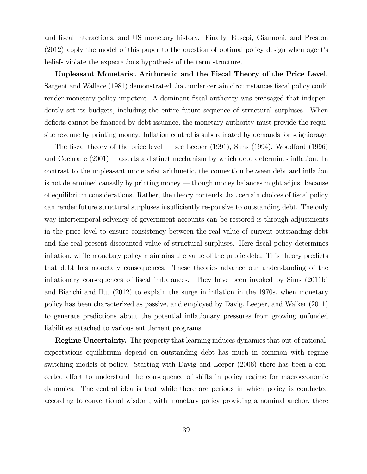and Öscal interactions, and US monetary history. Finally, Eusepi, Giannoni, and Preston  $(2012)$  apply the model of this paper to the question of optimal policy design when agent's beliefs violate the expectations hypothesis of the term structure.

Unpleasant Monetarist Arithmetic and the Fiscal Theory of the Price Level. Sargent and Wallace (1981) demonstrated that under certain circumstances fiscal policy could render monetary policy impotent. A dominant fiscal authority was envisaged that independently set its budgets, including the entire future sequence of structural surpluses. When deficits cannot be financed by debt issuance, the monetary authority must provide the requisite revenue by printing money. Inflation control is subordinated by demands for seigniorage.

The fiscal theory of the price level — see Leeper  $(1991)$ , Sims  $(1994)$ , Woodford  $(1996)$ and Cochrane  $(2001)$ — asserts a distinct mechanism by which debt determines inflation. In contrast to the unpleasant monetarist arithmetic, the connection between debt and ináation is not determined causally by printing money — though money balances might adjust because of equilibrium considerations. Rather, the theory contends that certain choices of fiscal policy can render future structural surpluses insufficiently responsive to outstanding debt. The only way intertemporal solvency of government accounts can be restored is through adjustments in the price level to ensure consistency between the real value of current outstanding debt and the real present discounted value of structural surpluses. Here fiscal policy determines inflation, while monetary policy maintains the value of the public debt. This theory predicts that debt has monetary consequences. These theories advance our understanding of the inflationary consequences of fiscal imbalances. They have been invoked by Sims (2011b) and Bianchi and Ilut (2012) to explain the surge in ináation in the 1970s, when monetary policy has been characterized as passive, and employed by Davig, Leeper, and Walker (2011) to generate predictions about the potential ináationary pressures from growing unfunded liabilities attached to various entitlement programs.

Regime Uncertainty. The property that learning induces dynamics that out-of-rationalexpectations equilibrium depend on outstanding debt has much in common with regime switching models of policy. Starting with Davig and Leeper (2006) there has been a concerted effort to understand the consequence of shifts in policy regime for macroeconomic dynamics. The central idea is that while there are periods in which policy is conducted according to conventional wisdom, with monetary policy providing a nominal anchor, there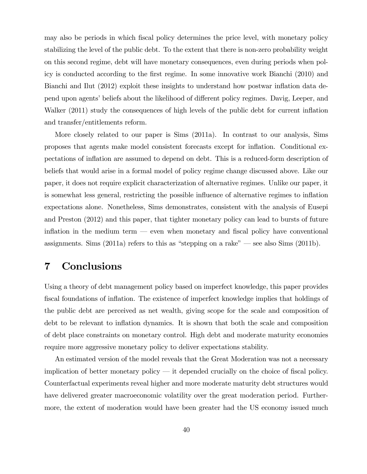may also be periods in which Öscal policy determines the price level, with monetary policy stabilizing the level of the public debt. To the extent that there is non-zero probability weight on this second regime, debt will have monetary consequences, even during periods when policy is conducted according to the first regime. In some innovative work Bianchi (2010) and Bianchi and Ilut (2012) exploit these insights to understand how postwar inflation data depend upon agents' beliefs about the likelihood of different policy regimes. Davig, Leeper, and Walker (2011) study the consequences of high levels of the public debt for current inflation and transfer/entitlements reform.

More closely related to our paper is Sims (2011a). In contrast to our analysis, Sims proposes that agents make model consistent forecasts except for ináation. Conditional expectations of ináation are assumed to depend on debt. This is a reduced-form description of beliefs that would arise in a formal model of policy regime change discussed above. Like our paper, it does not require explicit characterization of alternative regimes. Unlike our paper, it is somewhat less general, restricting the possible influence of alternative regimes to inflation expectations alone. Nonetheless, Sims demonstrates, consistent with the analysis of Eusepi and Preston (2012) and this paper, that tighter monetary policy can lead to bursts of future inflation in the medium term  $-$  even when monetary and fiscal policy have conventional assignments. Sims (2011a) refers to this as "stepping on a rake" — see also Sims (2011b).

# 7 Conclusions

Using a theory of debt management policy based on imperfect knowledge, this paper provides fiscal foundations of inflation. The existence of imperfect knowledge implies that holdings of the public debt are perceived as net wealth, giving scope for the scale and composition of debt to be relevant to inflation dynamics. It is shown that both the scale and composition of debt place constraints on monetary control. High debt and moderate maturity economies require more aggressive monetary policy to deliver expectations stability.

An estimated version of the model reveals that the Great Moderation was not a necessary implication of better monetary policy  $-$  it depended crucially on the choice of fiscal policy. Counterfactual experiments reveal higher and more moderate maturity debt structures would have delivered greater macroeconomic volatility over the great moderation period. Furthermore, the extent of moderation would have been greater had the US economy issued much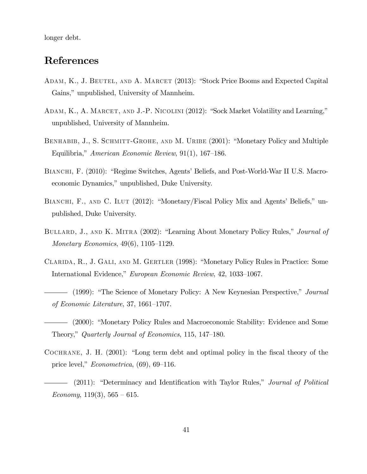longer debt.

# References

- ADAM, K., J. BEUTEL, AND A. MARCET (2013): "Stock Price Booms and Expected Capital Gains," unpublished, University of Mannheim.
- ADAM, K., A. MARCET, AND J.-P. NICOLINI (2012): "Sock Market Volatility and Learning," unpublished, University of Mannheim.
- BENHABIB, J., S. SCHMITT-GROHE, AND M. URIBE (2001): "Monetary Policy and Multiple Equilibria," American Economic Review,  $91(1)$ , 167–186.
- BIANCHI, F. (2010): "Regime Switches, Agents' Beliefs, and Post-World-War II U.S. Macroeconomic Dynamics," unpublished, Duke University.
- BIANCHI, F., AND C. ILUT (2012): "Monetary/Fiscal Policy Mix and Agents' Beliefs," unpublished, Duke University.
- BULLARD, J., AND K. MITRA (2002): "Learning About Monetary Policy Rules," Journal of Monetary Economics,  $49(6)$ ,  $1105-1129$ .
- CLARIDA, R., J. GALI, AND M. GERTLER (1998): "Monetary Policy Rules in Practice: Some International Evidence," European Economic Review, 42, 1033-1067.
- (1999): "The Science of Monetary Policy: A New Keynesian Perspective," *Journal* of Economic Literature,  $37, 1661-1707$ .
- (2000): "Monetary Policy Rules and Macroeconomic Stability: Evidence and Some Theory," Quarterly Journal of Economics, 115, 147–180.
- COCHRANE, J. H.  $(2001)$ : "Long term debt and optimal policy in the fiscal theory of the price level,"  $Econometrica$ , (69), 69–116.
	- $(2011)$ : "Determinacy and Identification with Taylor Rules," *Journal of Political* Economy, 119(3),  $565 - 615$ .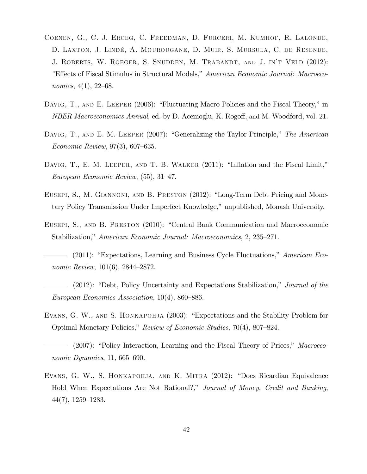- Coenen, G., C. J. Erceg, C. Freedman, D. Furceri, M. Kumhof, R. Lalonde, D. Laxton, J. LindÈ, A. Mourougane, D. Muir, S. Mursula, C. de Resende, J. ROBERTS, W. ROEGER, S. SNUDDEN, M. TRABANDT, AND J. IN'T VELD (2012): *Effects of Fiscal Stimulus in Structural Models," American Economic Journal: Macroeco*nomics,  $4(1)$ ,  $22-68$ .
- DAVIG, T., AND E. LEEPER (2006): "Fluctuating Macro Policies and the Fiscal Theory," in NBER Macroeconomics Annual, ed. by D. Acemoglu, K. Rogoff, and M. Woodford, vol. 21.
- DAVIG, T., AND E. M. LEEPER (2007): "Generalizing the Taylor Principle," The American Economic Review,  $97(3)$ , 607–635.
- DAVIG, T., E. M. LEEPER, AND T. B. WALKER  $(2011)$ : "Inflation and the Fiscal Limit," European Economic Review,  $(55)$ , 31–47.
- EUSEPI, S., M. GIANNONI, AND B. PRESTON (2012): "Long-Term Debt Pricing and Monetary Policy Transmission Under Imperfect Knowledge," unpublished, Monash University.
- EUSEPI, S., AND B. PRESTON (2010): "Central Bank Communication and Macroeconomic Stabilization," American Economic Journal: Macroeconomics, 2, 235–271.
- $-$  (2011): "Expectations, Learning and Business Cycle Fluctuations," *American Eco*nomic Review,  $101(6)$ ,  $2844-2872$ .
- $(2012)$ : "Debt, Policy Uncertainty and Expectations Stabilization," Journal of the European Economics Association,  $10(4)$ , 860–886.
- EVANS, G. W., AND S. HONKAPOHJA (2003): "Expectations and the Stability Problem for Optimal Monetary Policies," Review of Economic Studies, 70(4), 807–824.
- $(2007)$ : "Policy Interaction, Learning and the Fiscal Theory of Prices," Macroeconomic Dynamics, 11, 665–690.
- EVANS, G. W., S. HONKAPOHJA, AND K. MITRA (2012): "Does Ricardian Equivalence Hold When Expectations Are Not Rational?," Journal of Money, Credit and Banking,  $44(7), 1259-1283.$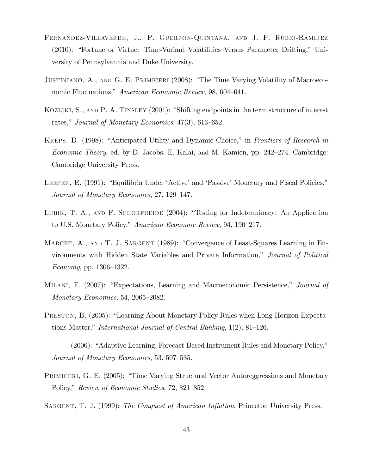- Fernandez-Villaverde, J., P. Guerron-Quintana, and J. F. Rubio-Ramirez (2010): "Fortune or Virtue: Time-Variant Volatilities Versus Parameter Drifting," University of Pennsylvannia and Duke University.
- JUSTINIANO, A., AND G. E. PRIMICERI (2008): "The Time Varying Volatility of Macroeconomic Fluctuations," American Economic Review, 98, 604-641.
- KOZICKI, S., AND P. A. TINSLEY (2001): "Shifting endpoints in the term structure of interest rates," Journal of Monetary Economics,  $47(3)$ , 613–652.
- KREPS, D. (1998): "Anticipated Utility and Dynamic Choice," in Frontiers of Research in Economic Theory, ed. by D. Jacobs, E. Kalai, and M. Kamien, pp.  $242-274$ . Cambridge: Cambridge University Press.
- LEEPER, E. (1991): "Equilibria Under 'Active' and 'Passive' Monetary and Fiscal Policies," Journal of Monetary Economics, 27, 129–147.
- LUBIK, T. A., AND F. SCHORFHEIDE  $(2004)$ : "Testing for Indeterminacy: An Application to U.S. Monetary Policy," American Economic Review, 94, 190–217.
- MARCET, A., AND T. J. SARGENT (1989): "Convergence of Least-Squares Learning in Environments with Hidden State Variables and Private Information," Journal of Political  $Economy, pp. 1306–1322.$
- MILANI, F. (2007): "Expectations, Learning and Macroeconomic Persistence," Journal of Monetary Economics, 54, 2065–2082.
- PRESTON, B. (2005): "Learning About Monetary Policy Rules when Long-Horizon Expectations Matter," International Journal of Central Banking,  $1(2)$ , 81–126.
- (2006): "Adaptive Learning, Forecast-Based Instrument Rules and Monetary Policy," Journal of Monetary Economics, 53, 507–535.
- PRIMICERI, G. E. (2005): "Time Varying Structural Vector Autoreggressions and Monetary Policy," Review of Economic Studies, 72, 821–852.
- SARGENT, T. J. (1999): The Conquest of American Inflation. Princeton University Press.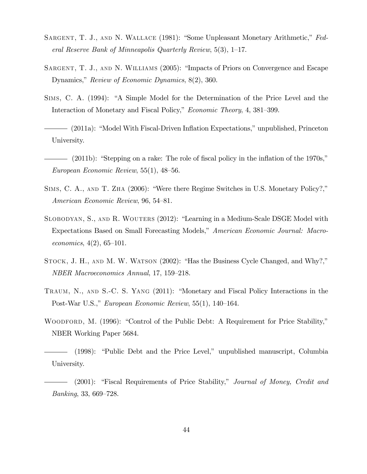- SARGENT, T. J., AND N. WALLACE (1981): "Some Unpleasant Monetary Arithmetic," Federal Reserve Bank of Minneapolis Quarterly Review,  $5(3)$ ,  $1-17$ .
- SARGENT, T. J., AND N. WILLIAMS (2005): "Impacts of Priors on Convergence and Escape Dynamics," Review of Economic Dynamics, 8(2), 360.
- SIMS, C. A. (1994): "A Simple Model for the Determination of the Price Level and the Interaction of Monetary and Fiscal Policy," Economic Theory, 4, 381–399.
- (2011a): "Model With Fiscal-Driven Inflation Expectations," unpublished, Princeton University.
- $-$  (2011b): "Stepping on a rake: The role of fiscal policy in the inflation of the 1970s," European Economic Review,  $55(1)$ ,  $48-56$ .
- SIMS, C. A., AND T. ZHA  $(2006)$ : "Were there Regime Switches in U.S. Monetary Policy?," American Economic Review, 96, 54–81.
- SLOBODYAN, S., AND R. WOUTERS (2012): "Learning in a Medium-Scale DSGE Model with Expectations Based on Small Forecasting Models," American Economic Journal: Macroeconomics,  $4(2)$ , 65-101.
- $S_{TOCK}$ , J. H., AND M. W. WATSON (2002): "Has the Business Cycle Changed, and Why?," NBER Macroeconomics Annual, 17, 159–218.
- TRAUM, N., AND S.-C. S. YANG (2011): "Monetary and Fiscal Policy Interactions in the Post-War U.S.," European Economic Review, 55(1), 140–164.
- WOODFORD, M. (1996): "Control of the Public Debt: A Requirement for Price Stability," NBER Working Paper 5684.

 $(1998)$ : "Public Debt and the Price Level," unpublished manuscript, Columbia University.

 $(2001)$ : "Fiscal Requirements of Price Stability," Journal of Money, Credit and  $Banking, 33, 669–728.$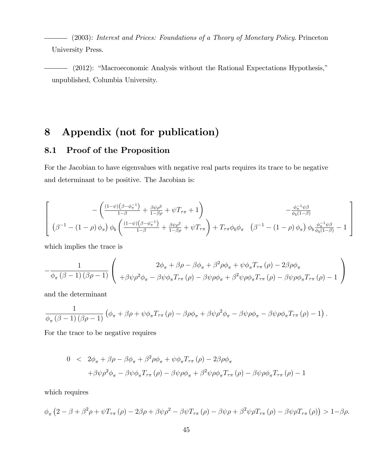(2003): Interest and Prices: Foundations of a Theory of Monetary Policy. Princeton University Press.

 $(2012)$ : "Macroeconomic Analysis without the Rational Expectations Hypothesis," unpublished, Columbia University.

# 8 Appendix (not for publication)

# 8.1 Proof of the Proposition

For the Jacobian to have eigenvalues with negative real parts requires its trace to be negative and determinant to be positive. The Jacobian is:

$$
\left[\begin{array}{c} -\left(\frac{(1-\psi)(\beta-\phi_{\pi}^{-1})}{1-\beta}+\frac{\beta\psi\rho^{2}}{1-\beta\rho}+\psi T_{\tau\pi}+1\right) & -\frac{\phi_{\pi}^{-1}\psi\beta}{\phi_{b}(1-\beta)} \\ (\beta^{-1}-(1-\rho)\phi_{\pi})\phi_{b}\left(\frac{(1-\psi)(\beta-\phi_{\pi}^{-1})}{1-\beta}+\frac{\beta\psi\rho^{2}}{1-\beta\rho}+\psi T_{\tau\pi}\right)+T_{\tau\pi}\phi_{b}\phi_{\pi}\left(\beta^{-1}-(1-\rho)\phi_{\pi}\right)\phi_{b}\frac{\phi_{\pi}^{-1}\psi\beta}{\phi_{b}(1-\beta)}-1\end{array}\right]
$$

which implies the trace is

$$
-\frac{1}{\phi_{\pi}\left(\beta-1\right)\left(\beta\rho-1\right)}\left(\begin{array}{c}2\phi_{\pi}+\beta\rho-\beta\phi_{\pi}+\beta^{2}\rho\phi_{\pi}+\psi\phi_{\pi}T_{\tau\pi}\left(\rho\right)-2\beta\rho\phi_{\pi}\\+\beta\psi\rho^{2}\phi_{\pi}-\beta\psi\phi_{\pi}T_{\tau\pi}\left(\rho\right)-\beta\psi\rho\phi_{\pi}+\beta^{2}\psi\rho\phi_{\pi}T_{\tau\pi}\left(\rho\right)-\beta\psi\rho\phi_{\pi}T_{\tau\pi}\left(\rho\right)-1\end{array}\right)
$$

and the determinant

$$
\frac{1}{\phi_{\pi}(\beta-1)(\beta\rho-1)}\left(\phi_{\pi}+\beta\rho+\psi\phi_{\pi}T_{\tau\pi}(\rho)-\beta\rho\phi_{\pi}+\beta\psi\rho^2\phi_{\pi}-\beta\psi\rho\phi_{\pi}-\beta\psi\rho\phi_{\pi}T_{\tau\pi}(\rho)-1\right).
$$

For the trace to be negative requires

$$
0 < 2\phi_{\pi} + \beta\rho - \beta\phi_{\pi} + \beta^2\rho\phi_{\pi} + \psi\phi_{\pi}T_{\tau\pi}(\rho) - 2\beta\rho\phi_{\pi}
$$

$$
+ \beta\psi\rho^2\phi_{\pi} - \beta\psi\phi_{\pi}T_{\tau\pi}(\rho) - \beta\psi\rho\phi_{\pi} + \beta^2\psi\rho\phi_{\pi}T_{\tau\pi}(\rho) - \beta\psi\rho\phi_{\pi}T_{\tau\pi}(\rho) - 1
$$

which requires

$$
\phi_{\pi}\left(2-\beta+\beta^2\rho+\psi T_{\tau\pi}\left(\rho\right)-2\beta\rho+\beta\psi\rho^2-\beta\psi T_{\tau\pi}\left(\rho\right)-\beta\psi\rho+\beta^2\psi\rho T_{\tau\pi}\left(\rho\right)-\beta\psi\rho T_{\tau\pi}\left(\rho\right)\right)>1-\beta\rho.
$$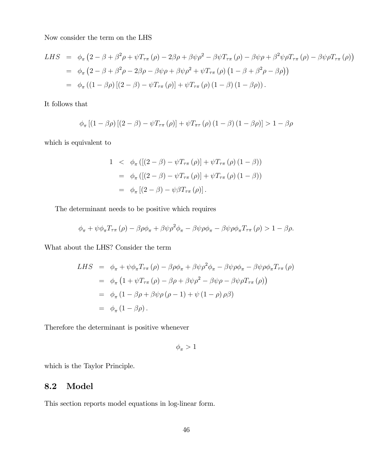Now consider the term on the LHS

LHS = 
$$
\phi_{\pi} (2 - \beta + \beta^2 \rho + \psi T_{\tau \pi} (\rho) - 2\beta \rho + \beta \psi \rho^2 - \beta \psi T_{\tau \pi} (\rho) - \beta \psi \rho + \beta^2 \psi \rho T_{\tau \pi} (\rho) - \beta \psi \rho T_{\tau \pi} (\rho))
$$
  
\n=  $\phi_{\pi} (2 - \beta + \beta^2 \rho - 2\beta \rho - \beta \psi \rho + \beta \psi \rho^2 + \psi T_{\tau \pi} (\rho) (1 - \beta + \beta^2 \rho - \beta \rho))$   
\n=  $\phi_{\pi} ((1 - \beta \rho) [(2 - \beta) - \psi T_{\tau \pi} (\rho)] + \psi T_{\tau \pi} (\rho) (1 - \beta) (1 - \beta \rho)).$ 

It follows that

$$
\phi_{\pi}\left[\left(1-\beta\rho\right)\left[\left(2-\beta\right)-\psi T_{\tau\pi}\left(\rho\right)\right]+\psi T_{\pi\tau}\left(\rho\right)\left(1-\beta\right)\left(1-\beta\rho\right)\right] > 1-\beta\rho
$$

which is equivalent to

1 
$$
\phi_{\pi} ([(2 - \beta) - \psi T_{\tau \pi} (\rho)] + \psi T_{\tau \pi} (\rho) (1 - \beta))
$$
  
\n=  $\phi_{\pi} ([(2 - \beta) - \psi T_{\tau \pi} (\rho)] + \psi T_{\tau \pi} (\rho) (1 - \beta))$   
\n=  $\phi_{\pi} [(2 - \beta) - \psi \beta T_{\tau \pi} (\rho)].$ 

The determinant needs to be positive which requires

$$
\phi_{\pi} + \psi \phi_{\pi} T_{\tau \pi} (\rho) - \beta \rho \phi_{\pi} + \beta \psi \rho^2 \phi_{\pi} - \beta \psi \rho \phi_{\pi} - \beta \psi \rho \phi_{\pi} T_{\tau \pi} (\rho) > 1 - \beta \rho.
$$

What about the LHS? Consider the term

LHS = 
$$
\phi_{\pi} + \psi \phi_{\pi} T_{\tau \pi} (\rho) - \beta \rho \phi_{\pi} + \beta \psi \rho^2 \phi_{\pi} - \beta \psi \rho \phi_{\pi} - \beta \psi \rho \phi_{\pi} T_{\tau \pi} (\rho)
$$
  
\n=  $\phi_{\pi} (1 + \psi T_{\tau \pi} (\rho) - \beta \rho + \beta \psi \rho^2 - \beta \psi \rho - \beta \psi \rho T_{\tau \pi} (\rho))$   
\n=  $\phi_{\pi} (1 - \beta \rho + \beta \psi \rho (\rho - 1) + \psi (1 - \rho) \rho \beta)$   
\n=  $\phi_{\pi} (1 - \beta \rho)$ .

Therefore the determinant is positive whenever

$$
\phi_\pi>1
$$

which is the Taylor Principle.

# 8.2 Model

This section reports model equations in log-linear form.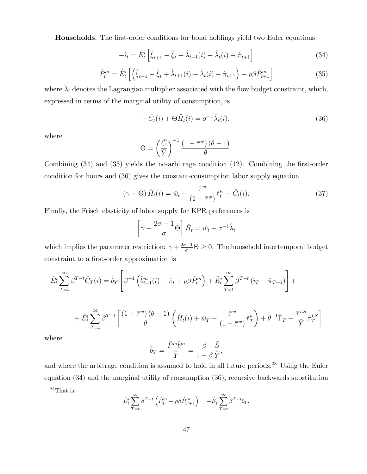**Households**. The first-order conditions for bond holdings yield two Euler equations

$$
-\hat{i}_t = \hat{E}_t^i \left[ \hat{\xi}_{t+1} - \hat{\xi}_t + \hat{\lambda}_{t+1}(i) - \hat{\lambda}_t(i) - \hat{\pi}_{t+1} \right]
$$
(34)

$$
\hat{P}_t^m = \hat{E}_t^i \left[ \left( \hat{\xi}_{t+1} - \hat{\xi}_t + \hat{\lambda}_{t+1}(i) - \hat{\lambda}_t(i) - \hat{\pi}_{t+1} \right) + \rho \beta \hat{P}_{t+1}^m \right] \tag{35}
$$

where  $\hat{\lambda}_t$  denotes the Lagrangian multiplier associated with the flow budget constraint, which, expressed in terms of the marginal utility of consumption, is

$$
-\hat{C}_t(i) + \Theta \hat{H}_t(i) = \sigma^{-1} \hat{\lambda}_t(i), \qquad (36)
$$

where

$$
\Theta = \left(\frac{\bar{C}}{\bar{Y}}\right)^{-1} \frac{\left(1 - \bar{\tau}^w\right)(\theta - 1)}{\theta}.
$$

Combining  $(34)$  and  $(35)$  yields the no-arbitrage condition  $(12)$ . Combining the first-order condition for hours and (36) gives the constant-consumption labor supply equation

$$
(\gamma + \Theta) \hat{H}_t(i) = \hat{w}_t - \frac{\bar{\tau}^w}{(1 - \bar{\tau}^w)} \hat{\tau}_t^w - \hat{C}_t(i). \tag{37}
$$

Finally, the Frisch elasticity of labor supply for KPR preferences is

$$
\left[\gamma + \frac{2\sigma - 1}{\sigma} \Theta\right] \hat{H}_t = \hat{w}_t + \sigma^{-1} \hat{\lambda}_t
$$

which implies the parameter restriction:  $\gamma + \frac{2\sigma - 1}{\sigma} \Theta \ge 0$ . The household intertemporal budget constraint to a first-order approximation is

$$
\hat{E}_t^i \sum_{T=t}^{\infty} \beta^{T-t} \hat{C}_T(i) = \bar{b}_Y \left[ \beta^{-1} \left( \hat{b}_{t-1}^m(i) - \hat{\pi}_t + \rho \beta \hat{P}_t^m \right) + \hat{E}_t^i \sum_{T=t}^{\infty} \beta^{T-t} \left( \hat{i}_T - \hat{\pi}_{T+1} \right) \right] +
$$

$$
+\hat{E}_{t}^{i}\sum_{T=t}^{\infty}\beta^{T-t}\left[\frac{\left(1-\bar{\tau}^{w}\right)\left(\theta-1\right)}{\theta}\left(\hat{H}_{t}(i)+\hat{w}_{T}-\frac{\bar{\tau}^{w}}{\left(1-\bar{\tau}^{w}\right)}\hat{\tau}_{T}^{w}\right)+\theta^{-1}\hat{\Gamma}_{T}-\frac{\bar{\tau}^{LS}}{\bar{Y}}\hat{\tau}_{T}^{LS}\right]
$$

where

$$
\bar{b}_Y = \frac{\bar{P}^m \bar{b}^m}{\bar{Y}} = \frac{\beta}{1 - \beta} \frac{\bar{S}}{\bar{Y}},
$$

and where the arbitrage condition is assumed to hold in all future periods.<sup>28</sup> Using the Euler equation (34) and the marginal utility of consumption (36), recursive backwards substitution

$$
\hat{E}_t^i \sum_{T=t}^{\infty} \beta^{T-t} \left( \hat{P}_T^m - \rho \beta \hat{P}_{T+1}^m \right) = -\hat{E}_t^i \sum_{T=t}^{\infty} \beta^{T-t} \hat{i}_T.
$$

<sup>28</sup>That is: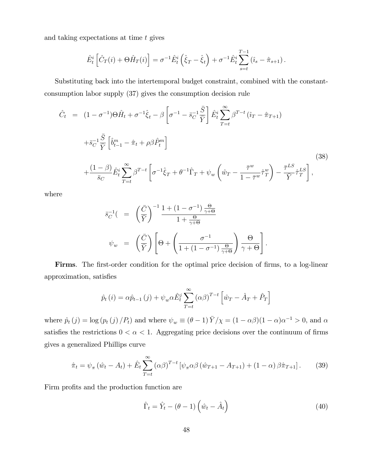and taking expectations at time  $t$  gives

$$
\hat{E}_t^i \left[ \hat{C}_T(i) + \Theta \hat{H}_T(i) \right] = \sigma^{-1} \hat{E}_t^i \left( \hat{\xi}_T - \hat{\xi}_t \right) + \sigma^{-1} \hat{E}_t^i \sum_{s=t}^{T-1} \left( \hat{i}_s - \hat{\pi}_{s+1} \right).
$$

Substituting back into the intertemporal budget constraint, combined with the constantconsumption labor supply (37) gives the consumption decision rule

$$
\hat{C}_t = (1 - \sigma^{-1})\Theta \hat{H}_t + \sigma^{-1}\hat{\xi}_t - \beta \left[\sigma^{-1} - \bar{s}_C^{-1} \frac{\bar{S}}{\bar{Y}}\right] \hat{E}_t^i \sum_{T=t}^{\infty} \beta^{T-t} (\hat{i}_T - \hat{\pi}_{T+1})
$$
\n
$$
+ \bar{s}_C^{-1} \frac{\bar{S}}{\bar{Y}} \left[\hat{i}_{t-1}^m - \hat{\pi}_t + \rho \beta \hat{P}_t^m\right]
$$
\n
$$
+ \frac{(1 - \beta)}{\bar{s}_C} \hat{E}_t^i \sum_{T=t}^{\infty} \beta^{T-t} \left[\sigma^{-1} \hat{\xi}_T + \theta^{-1} \hat{\Gamma}_T + \psi_w \left(\hat{w}_T - \frac{\bar{\tau}^w}{1 - \bar{\tau}^w} \hat{\tau}_T^w\right) - \frac{\bar{\tau}^{LS}}{\bar{Y}} \hat{\tau}_T^{LS}\right],
$$
\n(38)

where

$$
\bar{s}_C^{-1} \left( \begin{array}{cc} = \left( \frac{\bar{C}}{\bar{Y}} \right)^{-1} \frac{1 + (1 - \sigma^{-1}) \frac{\Theta}{\gamma + \Theta}}{1 + \frac{\Theta}{\gamma + \Theta}} \\ \psi_w & = \left( \frac{\bar{C}}{\bar{Y}} \right) \left[ \Theta + \left( \frac{\sigma^{-1}}{1 + (1 - \sigma^{-1}) \frac{\Theta}{\gamma + \Theta}} \right) \frac{\Theta}{\gamma + \Theta} \right]. \end{array}
$$

Firms. The first-order condition for the optimal price decision of firms, to a log-linear approximation, satisfies

$$
\hat{p}_t(i) = \alpha \hat{p}_{t-1}(j) + \psi_w \alpha \hat{E}_t^j \sum_{T=t}^{\infty} (\alpha \beta)^{T-t} \left[ \hat{w}_T - \hat{A}_T + \hat{P}_T \right]
$$

where  $\hat{p}_t(j) = \log (p_t(j) / P_t)$  and where  $\psi_w \equiv (\theta - 1) \bar{Y}/\chi = (1 - \alpha \beta)(1 - \alpha)\alpha^{-1} > 0$ , and  $\alpha$ satisfies the restrictions  $0 < \alpha < 1$ . Aggregating price decisions over the continuum of firms gives a generalized Phillips curve

$$
\hat{\pi}_t = \psi_{\pi} (\hat{w}_t - A_t) + \hat{E}_t \sum_{T=t}^{\infty} (\alpha \beta)^{T-t} \left[ \psi_{\pi} \alpha \beta (\hat{w}_{T+1} - A_{T+1}) + (1 - \alpha) \beta \hat{\pi}_{T+1} \right].
$$
 (39)

Firm profits and the production function are

$$
\hat{\Gamma}_t = \hat{Y}_t - (\theta - 1) \left( \hat{w}_t - \hat{A}_t \right) \tag{40}
$$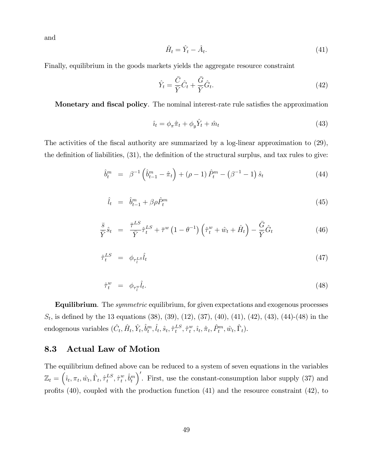and

$$
\hat{H}_t = \hat{Y}_t - \hat{A}_t. \tag{41}
$$

Finally, equilibrium in the goods markets yields the aggregate resource constraint

$$
\hat{Y}_t = \frac{\bar{C}}{\bar{Y}}\hat{C}_t + \frac{\bar{G}}{\bar{Y}}\hat{G}_t.
$$
\n(42)

Monetary and fiscal policy. The nominal interest-rate rule satisfies the approximation

$$
\hat{u}_t = \phi_\pi \hat{\pi}_t + \phi_y \hat{Y}_t + \hat{m}_t \tag{43}
$$

The activities of the fiscal authority are summarized by a log-linear approximation to  $(29)$ , the definition of liabilities,  $(31)$ , the definition of the structural surplus, and tax rules to give:

$$
\hat{b}_t^m = \beta^{-1} \left( \hat{b}_{t-1}^m - \hat{\pi}_t \right) + (\rho - 1) \hat{P}_t^m - (\beta^{-1} - 1) \hat{s}_t \tag{44}
$$

$$
\hat{l}_t = \hat{b}_{t-1}^m + \beta \rho \hat{P}_t^m \tag{45}
$$

$$
\frac{\bar{s}}{\bar{Y}}\hat{s}_t = \frac{\bar{\tau}^{LS}}{\bar{Y}}\hat{\tau}_t^{LS} + \bar{\tau}^w \left(1 - \theta^{-1}\right) \left(\hat{\tau}_t^w + \hat{w}_t + \hat{H}_t\right) - \frac{\bar{G}}{\bar{Y}}\hat{G}_t
$$
\n(46)

$$
\hat{\tau}_t^{LS} = \phi_{\tau_t^{LS}} \hat{l}_t \tag{47}
$$

$$
\hat{\tau}_t^w = \phi_{\tau_t^w} \hat{l}_t. \tag{48}
$$

**Equilibrium**. The *symmetric* equilibrium, for given expectations and exogenous processes  $S_t$ , is defined by the 13 equations (38), (39), (12), (37), (40), (41), (42), (43), (44)-(48) in the endogenous variables  $(\hat{C}_t, \hat{H}_t, \hat{Y}_t, \hat{b}_t^m, \hat{l}_t, \hat{s}_t, \hat{\tau}_t^{LS})$  $_{t}^{LS},\hat{\tau}_{t}^{w}$  $_{t}^{w},\hat{\imath}_{t},\hat{\pi}_{t},\hat{P}_{t}^{m},\hat{w}_{t},\hat{\Gamma}_{t}).$ 

## 8.3 Actual Law of Motion

The equilibrium defined above can be reduced to a system of seven equations in the variables  $\mathbb{Z}_t = \left(\hat{\imath}_t, \pi_t, \hat{w}_t, \hat{\Gamma}_t, \hat{\tau}_t^{LS}\right)$  $_{t}^{LS},\hat{\tau}_{t}^{w}$  $^w_t, \hat{b}^m_t$  $\int'$ . First, use the constant-consumption labor supply (37) and profits  $(40)$ , coupled with the production function  $(41)$  and the resource constraint  $(42)$ , to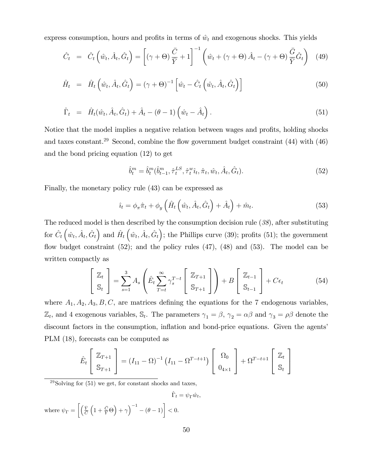express consumption, hours and profits in terms of  $\hat{w}_t$  and exogenous shocks. This yields

$$
\hat{C}_t = \hat{C}_t \left( \hat{w}_t, \hat{A}_t, \hat{G}_t \right) = \left[ (\gamma + \Theta) \frac{\bar{C}}{\bar{Y}} + 1 \right]^{-1} \left( \hat{w}_t + (\gamma + \Theta) \hat{A}_t - (\gamma + \Theta) \frac{\bar{G}}{\bar{Y}} \hat{G}_t \right) (49)
$$

$$
\hat{H}_t = \hat{H}_t \left( \hat{w}_t, \hat{A}_t, \hat{G}_t \right) = (\gamma + \Theta)^{-1} \left[ \hat{w}_t - \hat{C}_t \left( \hat{w}_t, \hat{A}_t, \hat{G}_t \right) \right]
$$
(50)

$$
\hat{\Gamma}_t = \hat{H}_t(\hat{w}_t, \hat{A}_t, \hat{G}_t) + \hat{A}_t - (\theta - 1) \left( \hat{w}_t - \hat{A}_t \right).
$$
\n(51)

Notice that the model implies a negative relation between wages and profits, holding shocks and taxes constant.<sup>29</sup> Second, combine the flow government budget constraint  $(44)$  with  $(46)$ and the bond pricing equation (12) to get

$$
\hat{b}_t^m = \hat{b}_t^m(\hat{b}_{t-1}^m, \hat{\tau}_t^{LS}, \hat{\tau}_t^w \hat{\imath}_t, \hat{\pi}_t, \hat{w}_t, \hat{A}_t, \hat{G}_t).
$$
\n(52)

Finally, the monetary policy rule (43) can be expressed as

$$
\hat{u}_t = \phi_\pi \hat{\pi}_t + \phi_y \left( \hat{H}_t \left( \hat{w}_t, \hat{A}_t, \hat{G}_t \right) + \hat{A}_t \right) + \hat{m}_t.
$$
\n(53)

The reduced model is then described by the consumption decision rule  $(38)$ , after substituting for  $\hat{C}_t(\hat{w}_t, \hat{A}_t, \hat{G}_t)$  and  $\hat{H}_t(\hat{w}_t, \hat{A}_t, \hat{G}_t)$ ; the Phillips curve (39); profits (51); the government flow budget constraint  $(52)$ ; and the policy rules  $(47)$ ,  $(48)$  and  $(53)$ . The model can be written compactly as

$$
\begin{bmatrix} \mathbb{Z}_t \\ \mathbb{S}_t \end{bmatrix} = \sum_{s=1}^3 A_s \left( \hat{E}_t \sum_{T=t}^{\infty} \gamma_s^{T-t} \begin{bmatrix} \mathbb{Z}_{T+1} \\ \mathbb{S}_{T+1} \end{bmatrix} \right) + B \begin{bmatrix} \mathbb{Z}_{t-1} \\ \mathbb{S}_{t-1} \end{bmatrix} + C\epsilon_t
$$
 (54)

where  $A_1, A_2, A_3, B, C$ , are matrices defining the equations for the 7 endogenous variables,  $\mathbb{Z}_t$ , and 4 exogenous variables,  $\mathbb{S}_t$ . The parameters  $\gamma_1 = \beta$ ,  $\gamma_2 = \alpha\beta$  and  $\gamma_3 = \rho\beta$  denote the discount factors in the consumption, inflation and bond-price equations. Given the agents' PLM (18), forecasts can be computed as

$$
\hat{E}_t \begin{bmatrix} \mathbb{Z}_{T+1} \\ \mathbb{S}_{T+1} \end{bmatrix} = (I_{11} - \Omega)^{-1} (I_{11} - \Omega^{T-t+1}) \begin{bmatrix} \Omega_0 \\ 0_{4 \times 1} \end{bmatrix} + \Omega^{T-t+1} \begin{bmatrix} \mathbb{Z}_t \\ \mathbb{S}_t \end{bmatrix}
$$

 $29$ Solving for  $(51)$  we get, for constant shocks and taxes,

 $\hat{\Gamma}_t = \psi_{\Gamma} \hat{w}_t,$ where  $\psi_{\Gamma} = \left[ \left( \frac{\bar{Y}}{\bar{C}} \right)$  $\left(1+\frac{\bar{C}}{\bar{Y}}\Theta\right)+\gamma\right)^{-1}-(\theta-1)\bigg]<0.$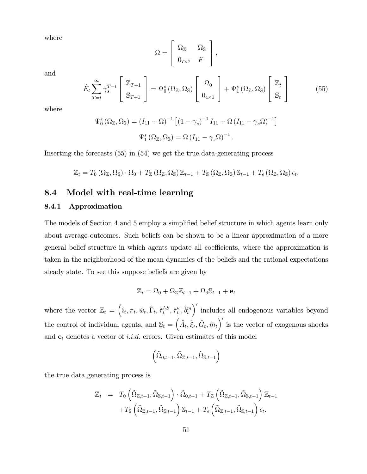where

$$
\Omega = \left[ \begin{array}{cc} \Omega_{\mathbb{Z}} & \Omega_{\mathbb{S}} \\ 0_{7 \times 7} & F \end{array} \right],
$$

and

$$
\hat{E}_t \sum_{T=t}^{\infty} \gamma_s^{T-t} \begin{bmatrix} \mathbb{Z}_{T+1} \\ \mathbb{S}_{T+1} \end{bmatrix} = \Psi_0^s \left( \Omega_{\mathbb{Z}}, \Omega_{\mathbb{S}} \right) \begin{bmatrix} \Omega_0 \\ 0_{4 \times 1} \end{bmatrix} + \Psi_1^s \left( \Omega_{\mathbb{Z}}, \Omega_{\mathbb{S}} \right) \begin{bmatrix} \mathbb{Z}_t \\ \mathbb{S}_t \end{bmatrix}
$$
(55)

where

$$
\Psi_0^s (\Omega_{\mathbb{Z}}, \Omega_{\mathbb{S}}) = (I_{11} - \Omega)^{-1} \left[ (1 - \gamma_s)^{-1} I_{11} - \Omega (I_{11} - \gamma_s \Omega)^{-1} \right]
$$

$$
\Psi_1^s (\Omega_{\mathbb{Z}}, \Omega_{\mathbb{S}}) = \Omega (I_{11} - \gamma_s \Omega)^{-1}.
$$

Inserting the forecasts (55) in (54) we get the true data-generating process

$$
\mathbb{Z}_t = T_0 \left( \Omega_{\mathbb{Z}}, \Omega_{\mathbb{S}} \right) \cdot \Omega_0 + T_{\mathbb{Z}} \left( \Omega_{\mathbb{Z}}, \Omega_{\mathbb{S}} \right) \mathbb{Z}_{t-1} + T_{\mathbb{S}} \left( \Omega_{\mathbb{Z}}, \Omega_{\mathbb{S}} \right) \mathbb{S}_{t-1} + T_{\epsilon} \left( \Omega_{\mathbb{Z}}, \Omega_{\mathbb{S}} \right) \epsilon_t.
$$

# 8.4 Model with real-time learning

#### 8.4.1 Approximation

The models of Section 4 and 5 employ a simplified belief structure in which agents learn only about average outcomes. Such beliefs can be shown to be a linear approximation of a more general belief structure in which agents update all coefficients, where the approximation is taken in the neighborhood of the mean dynamics of the beliefs and the rational expectations steady state. To see this suppose beliefs are given by

$$
\mathbb{Z}_t = \Omega_0 + \Omega_{\mathbb{Z}} \mathbb{Z}_{t-1} + \Omega_{\mathbb{S}} \mathbb{S}_{t-1} + \mathbf{e}_t
$$

where the vector  $\mathbb{Z}_t = \left(\hat{i}_t, \pi_t, \hat{w}_t, \hat{\Gamma}_t, \hat{\tau}_t^{LS}\right)$  $_{t}^{LS},\hat{\tau}_{t}^{w}$  $^w_t$ ,  $\hat{b}^m_t$ 0 includes all endogenous variables beyond the control of individual agents, and  $\mathbb{S}_t = (\hat{A}_t, \hat{\xi}_t, \hat{G}_t, \hat{m}_t)'$  is the vector of exogenous shocks and  $e_t$  denotes a vector of *i.i.d.* errors. Given estimates of this model

$$
\left(\tilde{\Omega}_{0,t-1},\tilde{\Omega}_{\mathbb{Z},t-1},\tilde{\Omega}_{\mathbb{S},t-1}\right)
$$

the true data generating process is

$$
\mathbb{Z}_{t} = T_{0} \left( \tilde{\Omega}_{\mathbb{Z},t-1}, \tilde{\Omega}_{\mathbb{S},t-1} \right) \cdot \tilde{\Omega}_{0,t-1} + T_{\mathbb{Z}} \left( \tilde{\Omega}_{\mathbb{Z},t-1}, \tilde{\Omega}_{\mathbb{S},t-1} \right) \mathbb{Z}_{t-1} \n+ T_{\mathbb{S}} \left( \tilde{\Omega}_{\mathbb{Z},t-1}, \tilde{\Omega}_{\mathbb{S},t-1} \right) \mathbb{S}_{t-1} + T_{\epsilon} \left( \tilde{\Omega}_{\mathbb{Z},t-1}, \tilde{\Omega}_{\mathbb{S},t-1} \right) \epsilon_{t}.
$$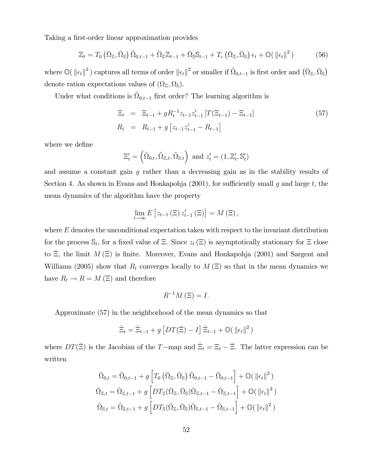Taking a first-order linear approximation provides

$$
\mathbb{Z}_{t} = T_{0} \left( \bar{\Omega}_{\mathbb{Z}}, \bar{\Omega}_{\mathbb{S}} \right) \tilde{\Omega}_{0,t-1} + \bar{\Omega}_{\mathbb{Z}} \mathbb{Z}_{t-1} + \bar{\Omega}_{\mathbb{S}} \mathbb{S}_{t-1} + T_{\epsilon} \left( \bar{\Omega}_{\mathbb{Z}}, \bar{\Omega}_{\mathbb{S}} \right) \epsilon_{t} + \mathbb{O}(\left\| \epsilon_{t} \right\|^{2}) \tag{56}
$$

where  $\mathbb{O}(\|\epsilon_t\|^2)$  captures all terms of order  $\|\epsilon_t\|^2$  or smaller if  $\tilde{\Omega}_{0,t-1}$  is first order and  $(\bar{\Omega}_{\mathbb{Z}}, \bar{\Omega}_{\mathbb{S}})$ denote ration expectations values of  $(\Omega_{\mathbb{Z}}, \Omega_{\mathbb{S}})$ .

Under what conditions is  $\tilde{\Omega}_{0,t-1}$  first order? The learning algorithm is

$$
\begin{aligned}\n\Xi_t &= \Xi_{t-1} + g R_t^{-1} z_{t-1} z_{t-1}' [T(\Xi_{t-1}) - \Xi_{t-1}] \\
R_t &= R_{t-1} + g \left[ z_{t-1} z_{t-1}' - R_{t-1} \right]\n\end{aligned} \tag{57}
$$

where we define

$$
\Xi'_t = \left(\tilde{\Omega}_{0,t}, \tilde{\Omega}_{\mathbb{Z},t}, \tilde{\Omega}_{\mathbb{S},t}\right) \text{ and } z'_t = (1, \mathbb{Z}'_t, \mathbb{S}'_t)
$$

and assume a constant gain  $q$  rather than a decreasing gain as in the stability results of Section 4. As shown in Evans and Honkapohja (2001), for sufficiently small q and large t, the mean dynamics of the algorithm have the property

$$
\lim_{t \to \infty} E\left[z_{t-1} \left(\Xi\right) z'_{t-1} \left(\Xi\right)\right] = M\left(\Xi\right),\,
$$

where  $E$  denotes the unconditional expectation taken with respect to the invariant distribution for the process  $\mathbb{S}_t$ , for a fixed value of  $\Xi$ . Since  $z_t(\Xi)$  is asymptotically stationary for  $\Xi$  close to  $\Xi$ , the limit  $M(\Xi)$  is finite. Moreover, Evans and Honkapohja (2001) and Sargent and Williams (2005) show that  $R_t$  converges locally to  $M \times$  so that in the mean dynamics we have  $R_t \to R = M \left( \Xi \right)$  and therefore

$$
R^{-1}M\left(\Xi\right) = I.
$$

Approximate (57) in the neighborhood of the mean dynamics so that

$$
\hat{\Xi}_t = \hat{\Xi}_{t-1} + g \left[ DT(\bar{\Xi}) - I \right] \hat{\Xi}_{t-1} + \mathcal{O}(\|\epsilon_t\|^2)
$$

where  $DT(\bar{\Xi})$  is the Jacobian of the T-map and  $\hat{\Xi}_t = \Xi_t - \bar{\Xi}$ . The latter expression can be written

$$
\tilde{\Omega}_{0,t} = \tilde{\Omega}_{0,t-1} + g \left[ T_0 \left( \bar{\Omega}_{\mathbb{Z}}, \bar{\Omega}_{\mathbb{S}} \right) \tilde{\Omega}_{0,t-1} - \tilde{\Omega}_{0,t-1} \right] + \mathbb{O}(\|\epsilon_t\|^2)
$$
\n
$$
\hat{\Omega}_{\mathbb{Z},t} = \hat{\Omega}_{\mathbb{Z},t-1} + g \left[ DT_{\mathbb{Z}}(\bar{\Omega}_{\mathbb{Z}}, \bar{\Omega}_{\mathbb{S}}) \hat{\Omega}_{\mathbb{Z},t-1} - \hat{\Omega}_{\mathbb{Z},t-1} \right] + \mathbb{O}(\|\epsilon_t\|^2)
$$
\n
$$
\hat{\Omega}_{\mathbb{S},t} = \hat{\Omega}_{\mathbb{S},t-1} + g \left[ DT_{\mathbb{S}}(\bar{\Omega}_{\mathbb{Z}}, \bar{\Omega}_{\mathbb{S}}) \hat{\Omega}_{\mathbb{S},t-1} - \hat{\Omega}_{\mathbb{S},t-1} \right] + \mathbb{O}(\|\epsilon_t\|^2)
$$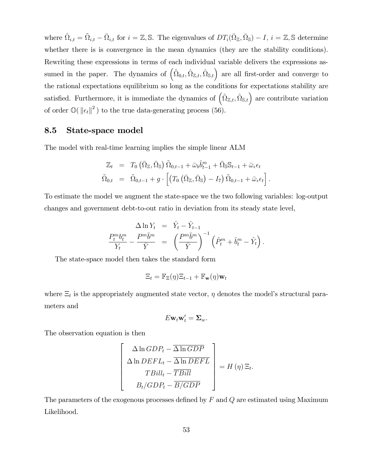where  $\hat{\Omega}_{i,t} = \tilde{\Omega}_{i,t} - \bar{\Omega}_{i,t}$  for  $i = \mathbb{Z}, \mathbb{S}$ . The eigenvalues of  $DT_i(\bar{\Omega}_{\mathbb{Z}}, \bar{\Omega}_{\mathbb{S}}) - I$ ,  $i = \mathbb{Z}, \mathbb{S}$  determine whether there is is convergence in the mean dynamics (they are the stability conditions). Rewriting these expressions in terms of each individual variable delivers the expressions assumed in the paper. The dynamics of  $(\tilde{\Omega}_{0,t}, \hat{\Omega}_{\mathbb{Z},t}, \hat{\Omega}_{\mathbb{S},t})$  are all first-order and converge to the rational expectations equilibrium so long as the conditions for expectations stability are satisfied. Furthermore, it is immediate the dynamics of  $(\hat{\Omega}_{\mathbb{Z},t}, \hat{\Omega}_{\mathbb{S},t})$  are contribute variation of order  $\mathbb{O}(\Vert \epsilon_t \Vert^2)$  to the true data-generating process (56).

## 8.5 State-space model

The model with real-time learning implies the simple linear ALM

$$
\mathbb{Z}_{t} = T_{0} \left( \bar{\Omega}_{\mathbb{Z}}, \bar{\Omega}_{\mathbb{S}} \right) \tilde{\Omega}_{0,t-1} + \bar{\omega}_{b} \hat{b}_{t-1}^{m} + \bar{\Omega}_{\mathbb{S}} \mathbb{S}_{t-1} + \bar{\omega}_{\epsilon} \epsilon_{t} \n\tilde{\Omega}_{0,t} = \tilde{\Omega}_{0,t-1} + g \cdot \left[ \left( T_{0} \left( \bar{\Omega}_{\mathbb{Z}}, \bar{\Omega}_{\mathbb{S}} \right) - I_{7} \right) \tilde{\Omega}_{0,t-1} + \bar{\omega}_{\epsilon} \epsilon_{t} \right].
$$

To estimate the model we augment the state-space we the two following variables: log-output changes and government debt-to-out ratio in deviation from its steady state level,

$$
\frac{\Delta \ln Y_t}{Y_t} = \frac{\hat{Y}_t - \hat{Y}_{t-1}}{\bar{Y}} = \left(\frac{P^m \bar{b}^m}{\bar{Y}}\right)^{-1} \left(\hat{P}_t^m + \hat{b}_t^m - \hat{Y}_t\right).
$$

The state-space model then takes the standard form

$$
\Xi_t = \mathbb{F}_{\Xi}(\eta)\Xi_{t-1} + \mathbb{F}_{\mathbf{w}}(\eta)\mathbf{w}_t
$$

where  $\Xi_t$  is the appropriately augmented state vector,  $\eta$  denotes the model's structural parameters and

$$
E\mathbf{w}_t\mathbf{w}_t'=\mathbf{\Sigma}_w.
$$

The observation equation is then

$$
\left[\begin{array}{c}\n\Delta \ln GDP_t - \overline{\Delta \ln GDP} \\
\Delta \ln DEF L_t - \overline{\Delta \ln DEF L} \\
TBill_t - \overline{TBill} \\
B_t/ GDP\n\end{array}\right] = H(\eta) \Xi_t.
$$

The parameters of the exogenous processes defined by  $F$  and  $Q$  are estimated using Maximum Likelihood.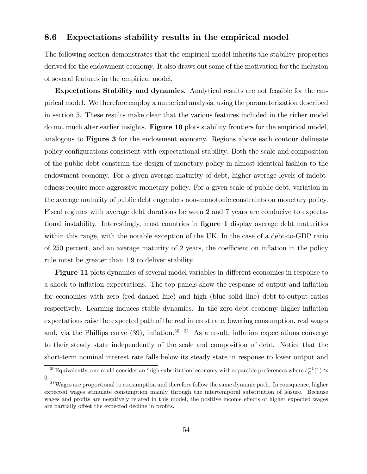### 8.6 Expectations stability results in the empirical model

The following section demonstrates that the empirical model inherits the stability properties derived for the endowment economy. It also draws out some of the motivation for the inclusion of several features in the empirical model.

Expectations Stability and dynamics. Analytical results are not feasible for the empirical model. We therefore employ a numerical analysis, using the parameterization described in section 5. These results make clear that the various features included in the richer model do not much alter earlier insights. Figure 10 plots stability frontiers for the empirical model, analogous to Figure 3 for the endowment economy. Regions above each contour delineate policy configurations consistent with expectational stability. Both the scale and composition of the public debt constrain the design of monetary policy in almost identical fashion to the endowment economy. For a given average maturity of debt, higher average levels of indebtedness require more aggressive monetary policy. For a given scale of public debt, variation in the average maturity of public debt engenders non-monotonic constraints on monetary policy. Fiscal regimes with average debt durations between 2 and 7 years are conducive to expectational instability. Interestingly, most countries in **figure 1** display average debt maturities within this range, with the notable exception of the UK. In the case of a debt-to-GDP ratio of  $250$  percent, and an average maturity of  $2$  years, the coefficient on inflation in the policy rule must be greater than 1.9 to deliver stability.

**Figure 11** plots dynamics of several model variables in different economies in response to a shock to inflation expectations. The top panels show the response of output and inflation for economies with zero (red dashed line) and high (blue solid line) debt-to-output ratios respectively. Learning induces stable dynamics. In the zero-debt economy higher inflation expectations raise the expected path of the real interest rate, lowering consumption, real wages and, via the Phillips curve  $(39)$ , inflation.<sup>30</sup> <sup>31</sup> As a result, inflation expectations converge to their steady state independently of the scale and composition of debt. Notice that the short-term nominal interest rate falls below its steady state in response to lower output and

<sup>&</sup>lt;sup>30</sup>Equivalently, one could consider an 'high substitution' economy with separable preferences where  $\bar{s}_C^{-1}(1) \approx$ 0.

<sup>&</sup>lt;sup>31</sup>Wages are proportional to consumption and therefore follow the same dynamic path. In consquence, higher expected wages stimulate consumption mainly through the intertemporal substitution of leisure. Because wages and profits are negatively related in this model, the positive income effects of higher expected wages are partially offset the expected decline in profits.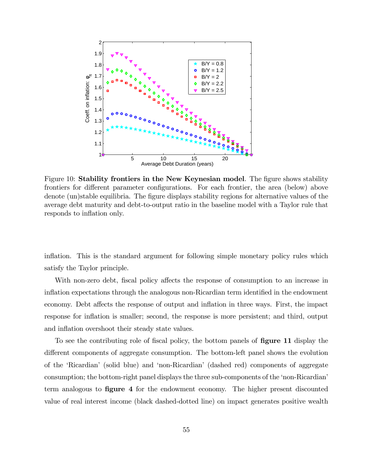

Figure 10: Stability frontiers in the New Keynesian model. The figure shows stability frontiers for different parameter configurations. For each frontier, the area (below) above denote (un)stable equilibria. The figure displays stability regions for alternative values of the average debt maturity and debt-to-output ratio in the baseline model with a Taylor rule that responds to inflation only.

inflation. This is the standard argument for following simple monetary policy rules which satisfy the Taylor principle.

With non-zero debt, fiscal policy affects the response of consumption to an increase in inflation expectations through the analogous non-Ricardian term identified in the endowment economy. Debt affects the response of output and inflation in three ways. First, the impact response for inflation is smaller; second, the response is more persistent; and third, output and inflation overshoot their steady state values.

To see the contributing role of fiscal policy, the bottom panels of **figure 11** display the different components of aggregate consumption. The bottom-left panel shows the evolution of the ëRicardianí (solid blue) and ënon-Ricardianí (dashed red) components of aggregate consumption; the bottom-right panel displays the three sub-components of the 'non-Ricardian' term analogous to **figure 4** for the endowment economy. The higher present discounted value of real interest income (black dashed-dotted line) on impact generates positive wealth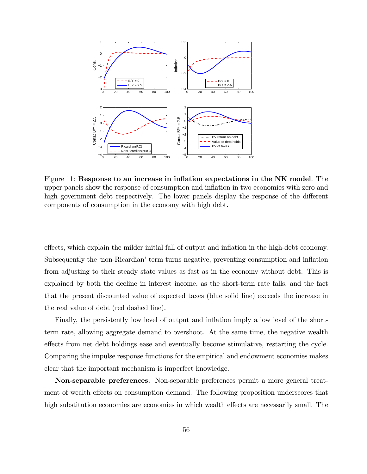

Figure 11: Response to an increase in inflation expectations in the  $NK$  model. The upper panels show the response of consumption and inflation in two economies with zero and high government debt respectively. The lower panels display the response of the different components of consumption in the economy with high debt.

effects, which explain the milder initial fall of output and inflation in the high-debt economy. Subsequently the 'non-Ricardian' term turns negative, preventing consumption and inflation from adjusting to their steady state values as fast as in the economy without debt. This is explained by both the decline in interest income, as the short-term rate falls, and the fact that the present discounted value of expected taxes (blue solid line) exceeds the increase in the real value of debt (red dashed line).

Finally, the persistently low level of output and inflation imply a low level of the shortterm rate, allowing aggregate demand to overshoot. At the same time, the negative wealth effects from net debt holdings ease and eventually become stimulative, restarting the cycle. Comparing the impulse response functions for the empirical and endowment economies makes clear that the important mechanism is imperfect knowledge.

Non-separable preferences. Non-separable preferences permit a more general treatment of wealth effects on consumption demand. The following proposition underscores that high substitution economies are economies in which wealth effects are necessarily small. The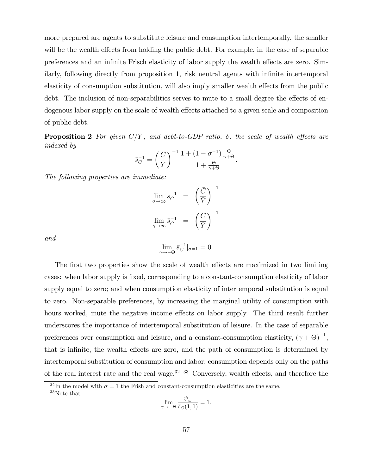more prepared are agents to substitute leisure and consumption intertemporally, the smaller will be the wealth effects from holding the public debt. For example, in the case of separable preferences and an infinite Frisch elasticity of labor supply the wealth effects are zero. Similarly, following directly from proposition 1, risk neutral agents with infinite intertemporal elasticity of consumption substitution, will also imply smaller wealth effects from the public debt. The inclusion of non-separabilities serves to mute to a small degree the effects of endogenous labor supply on the scale of wealth effects attached to a given scale and composition of public debt.

**Proposition 2** For given  $\overline{C}/\overline{Y}$ , and debt-to-GDP ratio,  $\delta$ , the scale of wealth effects are indexed by

$$
\bar{s}_C^{-1} = \left(\frac{\bar{C}}{\bar{Y}}\right)^{-1} \frac{1 + (1 - \sigma^{-1}) \frac{\Theta}{\gamma + \Theta}}{1 + \frac{\Theta}{\gamma + \Theta}}.
$$

The following properties are immediate:

$$
\lim_{\sigma \to \infty} \bar{s}_C^{-1} = \left(\frac{\bar{C}}{\bar{Y}}\right)^{-1}
$$

$$
\lim_{\gamma \to \infty} \bar{s}_C^{-1} = \left(\frac{\bar{C}}{\bar{Y}}\right)^{-1}
$$

and

$$
\lim_{\gamma \to -\Theta} \bar{s}_C^{-1}|_{\sigma=1} = 0.
$$

The first two properties show the scale of wealth effects are maximized in two limiting cases: when labor supply is fixed, corresponding to a constant-consumption elasticity of labor supply equal to zero; and when consumption elasticity of intertemporal substitution is equal to zero. Non-separable preferences, by increasing the marginal utility of consumption with hours worked, mute the negative income effects on labor supply. The third result further underscores the importance of intertemporal substitution of leisure. In the case of separable preferences over consumption and leisure, and a constant-consumption elasticity,  $(\gamma + \Theta)^{-1}$ , that is infinite, the wealth effects are zero, and the path of consumption is determined by intertemporal substitution of consumption and labor; consumption depends only on the paths of the real interest rate and the real wage. $32\frac{33}{1}$  Conversely, wealth effects, and therefore the

$$
\lim_{\gamma \to -\Theta} \frac{\psi_w}{\bar{s}_C(1,1)} = 1.
$$

<sup>&</sup>lt;sup>32</sup>In the model with  $\sigma = 1$  the Frish and constant-consumption elasticities are the same. <sup>33</sup>Note that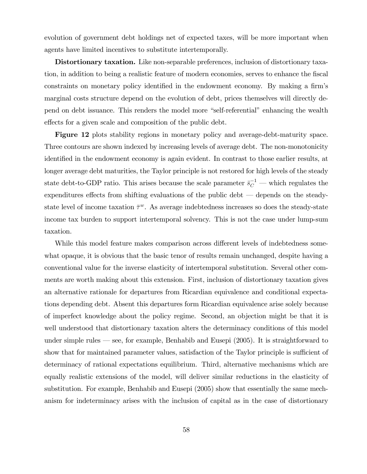evolution of government debt holdings net of expected taxes, will be more important when agents have limited incentives to substitute intertemporally.

Distortionary taxation. Like non-separable preferences, inclusion of distortionary taxation, in addition to being a realistic feature of modern economies, serves to enhance the Öscal constraints on monetary policy identified in the endowment economy. By making a firm's marginal costs structure depend on the evolution of debt, prices themselves will directly depend on debt issuance. This renders the model more "self-referential" enhancing the wealth effects for a given scale and composition of the public debt.

Figure 12 plots stability regions in monetary policy and average-debt-maturity space. Three contours are shown indexed by increasing levels of average debt. The non-monotonicity identified in the endowment economy is again evident. In contrast to those earlier results, at longer average debt maturities, the Taylor principle is not restored for high levels of the steady state debt-to-GDP ratio. This arises because the scale parameter  $\bar{s}_C^{-1}$  — which regulates the expenditures effects from shifting evaluations of the public debt  $-$  depends on the steadystate level of income taxation  $\bar{\tau}^w$ . As average indebtedness increases so does the steady-state income tax burden to support intertemporal solvency. This is not the case under lump-sum taxation.

While this model feature makes comparison across different levels of indebtedness somewhat opaque, it is obvious that the basic tenor of results remain unchanged, despite having a conventional value for the inverse elasticity of intertemporal substitution. Several other comments are worth making about this extension. First, inclusion of distortionary taxation gives an alternative rationale for departures from Ricardian equivalence and conditional expectations depending debt. Absent this departures form Ricardian equivalence arise solely because of imperfect knowledge about the policy regime. Second, an objection might be that it is well understood that distortionary taxation alters the determinacy conditions of this model under simple rules  $\sim$  see, for example, Benhabib and Eusepi (2005). It is straightforward to show that for maintained parameter values, satisfaction of the Taylor principle is sufficient of determinacy of rational expectations equilibrium. Third, alternative mechanisms which are equally realistic extensions of the model, will deliver similar reductions in the elasticity of substitution. For example, Benhabib and Eusepi (2005) show that essentially the same mechanism for indeterminacy arises with the inclusion of capital as in the case of distortionary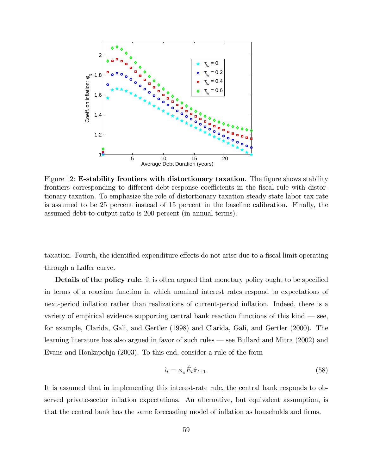

Figure 12: E-stability frontiers with distortionary taxation. The figure shows stability frontiers corresponding to different debt-response coefficients in the fiscal rule with distortionary taxation. To emphasize the role of distortionary taxation steady state labor tax rate is assumed to be 25 percent instead of 15 percent in the baseline calibration. Finally, the assumed debt-to-output ratio is 200 percent (in annual terms).

taxation. Fourth, the identified expenditure effects do not arise due to a fiscal limit operating through a Laffer curve.

Details of the policy rule. it is often argued that monetary policy ought to be specified in terms of a reaction function in which nominal interest rates respond to expectations of next-period inflation rather than realizations of current-period inflation. Indeed, there is a variety of empirical evidence supporting central bank reaction functions of this kind  $\sim$  see, for example, Clarida, Gali, and Gertler (1998) and Clarida, Gali, and Gertler (2000). The learning literature has also argued in favor of such rules  $-$  see Bullard and Mitra (2002) and Evans and Honkapohja (2003). To this end, consider a rule of the form

$$
\hat{u}_t = \phi_\pi \hat{E}_t \hat{\pi}_{t+1}.\tag{58}
$$

It is assumed that in implementing this interest-rate rule, the central bank responds to observed private-sector ináation expectations. An alternative, but equivalent assumption, is that the central bank has the same forecasting model of inflation as households and firms.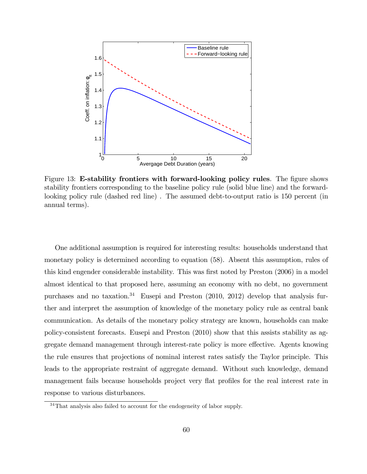

Figure 13: E-stability frontiers with forward-looking policy rules. The figure shows stability frontiers corresponding to the baseline policy rule (solid blue line) and the forwardlooking policy rule (dashed red line) . The assumed debt-to-output ratio is 150 percent (in annual terms).

One additional assumption is required for interesting results: households understand that monetary policy is determined according to equation (58). Absent this assumption, rules of this kind engender considerable instability. This was first noted by Preston (2006) in a model almost identical to that proposed here, assuming an economy with no debt, no government purchases and no taxation.<sup>34</sup> Eusepi and Preston  $(2010, 2012)$  develop that analysis further and interpret the assumption of knowledge of the monetary policy rule as central bank communication. As details of the monetary policy strategy are known, households can make policy-consistent forecasts. Eusepi and Preston (2010) show that this assists stability as aggregate demand management through interest-rate policy is more effective. Agents knowing the rule ensures that projections of nominal interest rates satisfy the Taylor principle. This leads to the appropriate restraint of aggregate demand. Without such knowledge, demand management fails because households project very flat profiles for the real interest rate in response to various disturbances.

<sup>34</sup>That analysis also failed to account for the endogeneity of labor supply.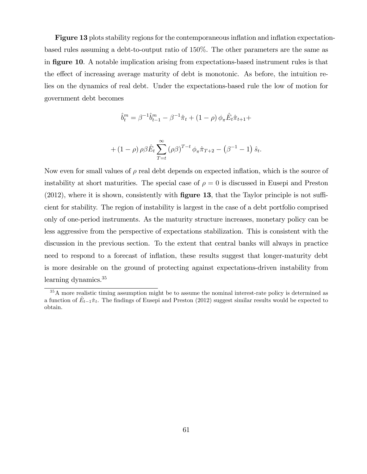**Figure 13** plots stability regions for the contemporaneous inflation and inflation expectationbased rules assuming a debt-to-output ratio of 150%. The other parameters are the same as in **figure 10.** A notable implication arising from expectations-based instrument rules is that the effect of increasing average maturity of debt is monotonic. As before, the intuition relies on the dynamics of real debt. Under the expectations-based rule the low of motion for government debt becomes

$$
\hat{b}_t^m = \beta^{-1} \hat{b}_{t-1}^m - \beta^{-1} \hat{\pi}_t + (1 - \rho) \phi_\pi \hat{E}_t \hat{\pi}_{t+1} +
$$

+ 
$$
(1 - \rho) \rho \beta \hat{E}_t \sum_{T=t}^{\infty} (\rho \beta)^{T-t} \phi_{\pi} \hat{\pi}_{T+2} - (\beta^{-1} - 1) \hat{s}_t
$$
.

Now even for small values of  $\rho$  real debt depends on expected inflation, which is the source of instability at short maturities. The special case of  $\rho = 0$  is discussed in Eusepi and Preston  $(2012)$ , where it is shown, consistently with **figure 13**, that the Taylor principle is not sufficient for stability. The region of instability is largest in the case of a debt portfolio comprised only of one-period instruments. As the maturity structure increases, monetary policy can be less aggressive from the perspective of expectations stabilization. This is consistent with the discussion in the previous section. To the extent that central banks will always in practice need to respond to a forecast of inflation, these results suggest that longer-maturity debt is more desirable on the ground of protecting against expectations-driven instability from learning dynamics.<sup>35</sup>

<sup>&</sup>lt;sup>35</sup>A more realistic timing assumption might be to assume the nominal interest-rate policy is determined as a function of  $\hat{E}_{t-1}\hat{\pi}_t$ . The findings of Eusepi and Preston (2012) suggest similar results would be expected to obtain.